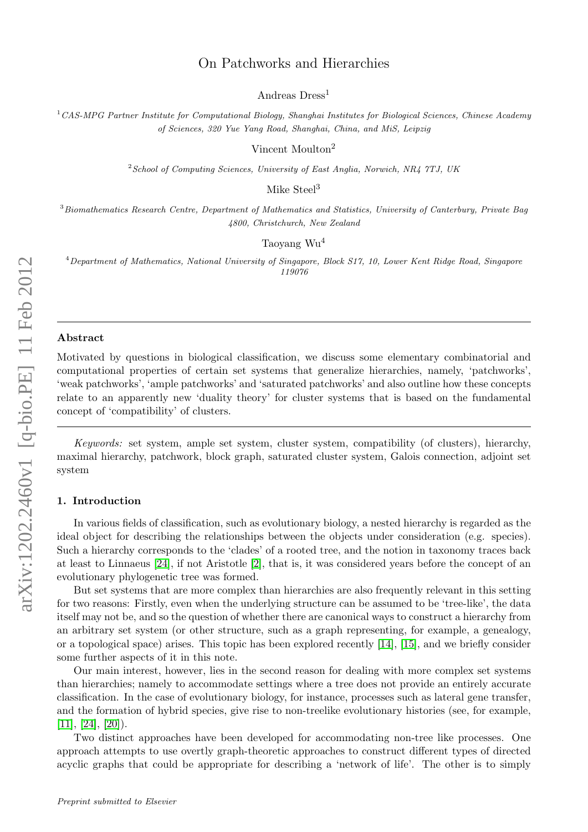# On Patchworks and Hierarchies

Andreas Dress<sup>1</sup>

 $1$ CAS-MPG Partner Institute for Computational Biology, Shanghai Institutes for Biological Sciences, Chinese Academy of Sciences, 320 Yue Yang Road, Shanghai, China, and MiS, Leipzig

Vincent Moulton<sup>2</sup>

 $2$ School of Computing Sciences, University of East Anglia, Norwich, NR4 7TJ, UK

Mike Steel<sup>3</sup>

<sup>3</sup>Biomathematics Research Centre, Department of Mathematics and Statistics, University of Canterbury, Private Bag 4800, Christchurch, New Zealand

## Taoyang Wu<sup>4</sup>

<sup>4</sup>Department of Mathematics, National University of Singapore, Block S17, 10, Lower Kent Ridge Road, Singapore 119076

#### Abstract

Motivated by questions in biological classification, we discuss some elementary combinatorial and computational properties of certain set systems that generalize hierarchies, namely, 'patchworks', 'weak patchworks', 'ample patchworks' and 'saturated patchworks' and also outline how these concepts relate to an apparently new 'duality theory' for cluster systems that is based on the fundamental concept of 'compatibility' of clusters.

Keywords: set system, ample set system, cluster system, compatibility (of clusters), hierarchy, maximal hierarchy, patchwork, block graph, saturated cluster system, Galois connection, adjoint set system

# 1. Introduction

In various fields of classification, such as evolutionary biology, a nested hierarchy is regarded as the ideal object for describing the relationships between the objects under consideration (e.g. species). Such a hierarchy corresponds to the 'clades' of a rooted tree, and the notion in taxonomy traces back at least to Linnaeus [\[24\]](#page-16-0), if not Aristotle [\[2\]](#page-15-0), that is, it was considered years before the concept of an evolutionary phylogenetic tree was formed.

But set systems that are more complex than hierarchies are also frequently relevant in this setting for two reasons: Firstly, even when the underlying structure can be assumed to be 'tree-like', the data itself may not be, and so the question of whether there are canonical ways to construct a hierarchy from an arbitrary set system (or other structure, such as a graph representing, for example, a genealogy, or a topological space) arises. This topic has been explored recently [\[14\]](#page-15-1), [\[15\]](#page-15-2), and we briefly consider some further aspects of it in this note.

Our main interest, however, lies in the second reason for dealing with more complex set systems than hierarchies; namely to accommodate settings where a tree does not provide an entirely accurate classification. In the case of evolutionary biology, for instance, processes such as lateral gene transfer, and the formation of hybrid species, give rise to non-treelike evolutionary histories (see, for example,  $[11]$ ,  $[24]$ ,  $[20]$ ).

Two distinct approaches have been developed for accommodating non-tree like processes. One approach attempts to use overtly graph-theoretic approaches to construct different types of directed acyclic graphs that could be appropriate for describing a 'network of life'. The other is to simply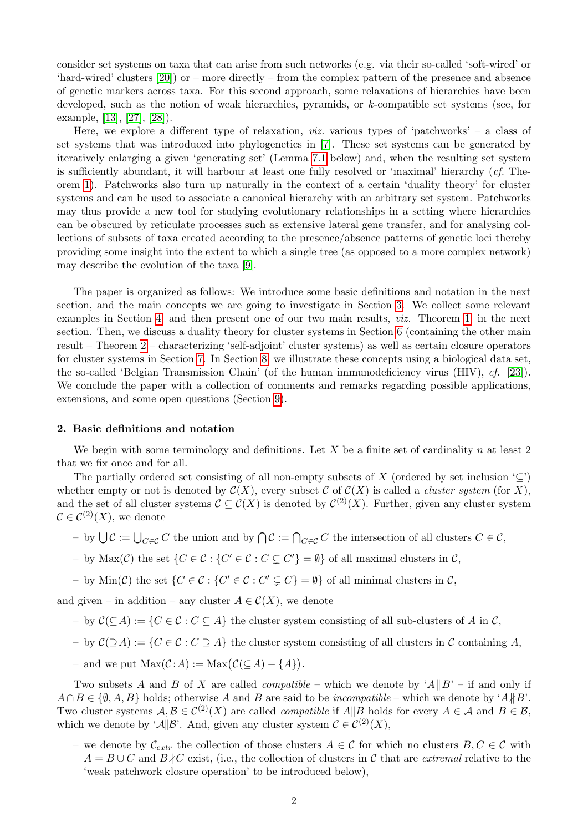consider set systems on taxa that can arise from such networks (e.g. via their so-called 'soft-wired' or 'hard-wired' clusters [\[20\]](#page-16-1)) or – more directly – from the complex pattern of the presence and absence of genetic markers across taxa. For this second approach, some relaxations of hierarchies have been developed, such as the notion of weak hierarchies, pyramids, or k-compatible set systems (see, for example, [\[13\]](#page-15-4), [\[27\]](#page-16-2), [\[28\]](#page-16-3)).

Here, we explore a different type of relaxation, viz. various types of 'patchworks' – a class of set systems that was introduced into phylogenetics in [\[7\]](#page-15-5). These set systems can be generated by iteratively enlarging a given 'generating set' (Lemma [7.1](#page-10-0) below) and, when the resulting set system is sufficiently abundant, it will harbour at least one fully resolved or 'maximal' hierarchy (cf. Theorem [1\)](#page-6-0). Patchworks also turn up naturally in the context of a certain 'duality theory' for cluster systems and can be used to associate a canonical hierarchy with an arbitrary set system. Patchworks may thus provide a new tool for studying evolutionary relationships in a setting where hierarchies can be obscured by reticulate processes such as extensive lateral gene transfer, and for analysing collections of subsets of taxa created according to the presence/absence patterns of genetic loci thereby providing some insight into the extent to which a single tree (as opposed to a more complex network) may describe the evolution of the taxa [\[9\]](#page-15-6).

The paper is organized as follows: We introduce some basic definitions and notation in the next section, and the main concepts we are going to investigate in Section [3.](#page-2-0) We collect some relevant examples in Section [4,](#page-3-0) and then present one of our two main results, viz. Theorem [1,](#page-6-0) in the next section. Then, we discuss a duality theory for cluster systems in Section [6](#page-7-0) (containing the other main result – Theorem [2](#page-8-0) – characterizing 'self-adjoint' cluster systems) as well as certain closure operators for cluster systems in Section [7.](#page-9-0) In Section [8,](#page-11-0) we illustrate these concepts using a biological data set, the so-called 'Belgian Transmission Chain' (of the human immunodeficiency virus (HIV), cf. [\[23\]](#page-16-4)). We conclude the paper with a collection of comments and remarks regarding possible applications, extensions, and some open questions (Section [9\)](#page-13-0).

#### 2. Basic definitions and notation

We begin with some terminology and definitions. Let  $X$  be a finite set of cardinality  $n$  at least 2 that we fix once and for all.

The partially ordered set consisting of all non-empty subsets of X (ordered by set inclusion  $\subseteq$ ) whether empty or not is denoted by  $\mathcal{C}(X)$ , every subset C of  $\mathcal{C}(X)$  is called a *cluster system* (for X), and the set of all cluster systems  $\mathcal{C} \subseteq \mathcal{C}(X)$  is denoted by  $\mathcal{C}^{(2)}(X)$ . Further, given any cluster system  $\mathcal{C} \in \mathcal{C}^{(2)}(X)$ , we denote

- $\Box$  by  $\bigcup$   $\mathcal{C} := \bigcup_{C \in \mathcal{C}} C$  the union and by  $\bigcap \mathcal{C} := \bigcap_{C \in \mathcal{C}} C$  the intersection of all clusters  $C \in \mathcal{C}$ ,
- by  $Max(\mathcal{C})$  the set  $\{C \in \mathcal{C} : \{C' \in \mathcal{C} : C \subsetneq C'\} = \emptyset\}$  of all maximal clusters in  $\mathcal{C}$ ,
- by  $\text{Min}(\mathcal{C})$  the set  $\{C \in \mathcal{C} : \{C' \in \mathcal{C} : C' \subsetneq C\} = \emptyset\}$  of all minimal clusters in  $\mathcal{C}$ ,

and given – in addition – any cluster  $A \in \mathcal{C}(X)$ , we denote

- by  $\mathcal{C}(\subseteq A) := \{C \in \mathcal{C} : C \subseteq A\}$  the cluster system consisting of all sub-clusters of A in C,
- by C(⊇A) := {C ∈ C : C ⊇ A} the cluster system consisting of all clusters in C containing A,
- $-$  and we put Max(*C*:*A*) := Max(*C*(⊆*A*) − {*A*}).

Two subsets A and B of X are called *compatible* – which we denote by 'A $||B' -$  if and only if  $A \cap B \in \{ \emptyset, A, B \}$  holds; otherwise A and B are said to be *incompatible* – which we denote by 'A $\nparallel B$ '. Two cluster systems  $A, B \in C^{(2)}(X)$  are called *compatible* if  $A||B$  holds for every  $A \in \mathcal{A}$  and  $B \in \mathcal{B}$ , which we denote by ' $\mathcal{A} \parallel \mathcal{B}'$ . And, given any cluster system  $\mathcal{C} \in C^{(2)}(X)$ ,

– we denote by  $\mathcal{C}_{extr}$  the collection of those clusters  $A \in \mathcal{C}$  for which no clusters  $B, C \in \mathcal{C}$  with  $A = B \cup C$  and  $B \nparallel C$  exist, (i.e., the collection of clusters in C that are extremal relative to the 'weak patchwork closure operation' to be introduced below),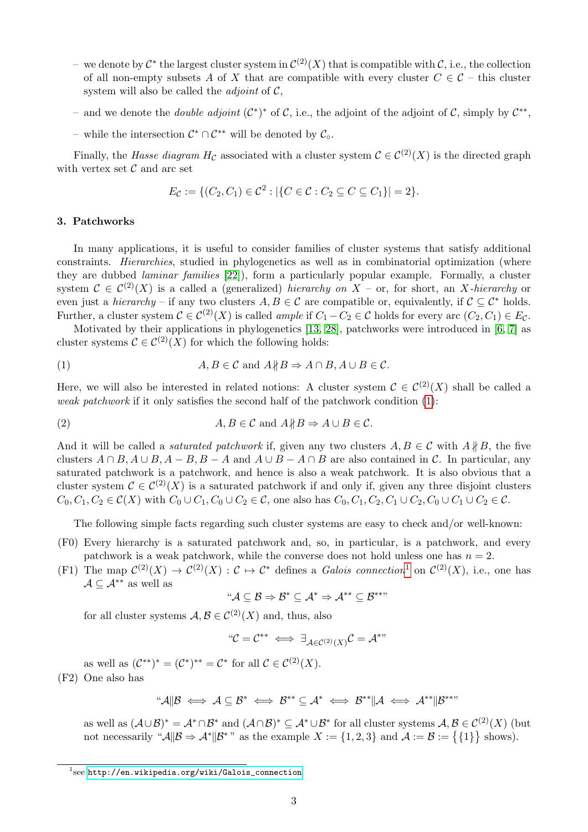- − we denote by  $\mathcal{C}^*$  the largest cluster system in  $\mathcal{C}^{(2)}(X)$  that is compatible with  $\mathcal{C}$ , i.e., the collection of all non-empty subsets A of X that are compatible with every cluster  $C \in \mathcal{C}$  – this cluster system will also be called the *adjoint* of  $C$ ,
- and we denote the *double adjoint*  $(C^*)^*$  of C, i.e., the adjoint of the adjoint of C, simply by  $C^{**}$ ,
- − while the intersection  $\mathcal{C}^* \cap \mathcal{C}^{**}$  will be denoted by  $\mathcal{C}_\circ$ .

Finally, the Hasse diagram H<sub>C</sub> associated with a cluster system  $\mathcal{C} \in C^{(2)}(X)$  is the directed graph with vertex set  $\mathcal C$  and arc set

$$
E_{\mathcal{C}} := \{ (C_2, C_1) \in \mathcal{C}^2 : |\{ C \in \mathcal{C} : C_2 \subseteq C \subseteq C_1 \}| = 2 \}.
$$

# <span id="page-2-0"></span>3. Patchworks

In many applications, it is useful to consider families of cluster systems that satisfy additional constraints. Hierarchies, studied in phylogenetics as well as in combinatorial optimization (where they are dubbed laminar families [\[22\]](#page-16-5)), form a particularly popular example. Formally, a cluster system  $\mathcal{C} \in \mathcal{C}^{(2)}(X)$  is a called a (generalized) hierarchy on  $X$  – or, for short, an X-hierarchy or even just a *hierarchy* – if any two clusters  $A, B \in \mathcal{C}$  are compatible or, equivalently, if  $\mathcal{C} \subset \mathcal{C}^*$  holds. Further, a cluster system  $C \in C^{(2)}(X)$  is called *ample* if  $C_1 - C_2 \in \mathcal{C}$  holds for every arc  $(C_2, C_1) \in E_{\mathcal{C}}$ .

Motivated by their applications in phylogenetics [\[13,](#page-15-4) [28\]](#page-16-3), patchworks were introduced in [\[6,](#page-15-7) [7\]](#page-15-5) as cluster systems  $\mathcal{C} \in \mathcal{C}^{(2)}(X)$  for which the following holds:

<span id="page-2-1"></span>(1) 
$$
A, B \in \mathcal{C} \text{ and } A \nparallel B \Rightarrow A \cap B, A \cup B \in \mathcal{C}.
$$

Here, we will also be interested in related notions: A cluster system  $\mathcal{C} \in C^{(2)}(X)$  shall be called a weak patchwork if it only satisfies the second half of the patchwork condition [\(1\)](#page-2-1):

(2) 
$$
A, B \in \mathcal{C} \text{ and } A \nparallel B \Rightarrow A \cup B \in \mathcal{C}.
$$

And it will be called a *saturated patchwork* if, given any two clusters  $A, B \in \mathcal{C}$  with  $A \nparallel B$ , the five clusters  $A \cap B$ ,  $A \cup B$ ,  $A - B$ ,  $B - A$  and  $A \cup B - A \cap B$  are also contained in C. In particular, any saturated patchwork is a patchwork, and hence is also a weak patchwork. It is also obvious that a cluster system  $\mathcal{C} \in \mathcal{C}^{(2)}(X)$  is a saturated patchwork if and only if, given any three disjoint clusters  $C_0, C_1, C_2 \in \mathcal{C}(X)$  with  $C_0 \cup C_1, C_0 \cup C_2 \in \mathcal{C}$ , one also has  $C_0, C_1, C_2, C_1 \cup C_2, C_0 \cup C_1 \cup C_2 \in \mathcal{C}$ .

The following simple facts regarding such cluster systems are easy to check and/or well-known:

- (F0) Every hierarchy is a saturated patchwork and, so, in particular, is a patchwork, and every patchwork is a weak patchwork, while the converse does not hold unless one has  $n = 2$ .
- (F[1](#page-2-2)) The map  $\mathcal{C}^{(2)}(X) \to \mathcal{C}^{(2)}(X) : \mathcal{C} \to \mathcal{C}^*$  defines a *Galois connection*<sup>1</sup> on  $\mathcal{C}^{(2)}(X)$ , i.e., one has  $\mathcal{A} \subseteq \mathcal{A}^{**}$  as well as

$$
``\mathcal{A}\subseteq \mathcal{B} \Rightarrow \mathcal{B}^* \subseteq \mathcal{A}^* \Rightarrow \mathcal{A}^{**} \subseteq \mathcal{B}^{***}
$$

for all cluster systems  $A, B \in C^{(2)}(X)$  and, thus, also

$$
``\mathcal{C} = \mathcal{C}^{**} \iff \exists_{\mathcal{A} \in \mathcal{C}^{(2)}(X)} \mathcal{C} = \mathcal{A}^{**}
$$

as well as  $(\mathcal{C}^{**})^* = (\mathcal{C}^*)^{**} = \mathcal{C}^*$  for all  $\mathcal{C} \in \mathcal{C}^{(2)}(X)$ .

(F2) One also has

$$
\text{``A||B} \iff A \subseteq B^* \iff B^{**} \subseteq A^* \iff B^{**}||A \iff A^{**}||B^{***}
$$

as well as  $(\mathcal{A}\cup\mathcal{B})^*=\mathcal{A}^*\cap\mathcal{B}^*$  and  $(\mathcal{A}\cap\mathcal{B})^*\subseteq\mathcal{A}^*\cup\mathcal{B}^*$  for all cluster systems  $\mathcal{A},\mathcal{B}\in\mathcal{C}^{(2)}(X)$  (but not necessarily " $\mathcal{A} \parallel \mathcal{B} \Rightarrow \mathcal{A}^* \parallel \mathcal{B}^{*}$ " as the example  $X := \{1, 2, 3\}$  and  $\mathcal{A} := \mathcal{B} := \{\{1\}\}\$  shows).

<span id="page-2-2"></span> $^1$ see [http://en.wikipedia.org/wiki/Galois\\_connection](http://en.wikipedia.org/wiki/Galois_connection)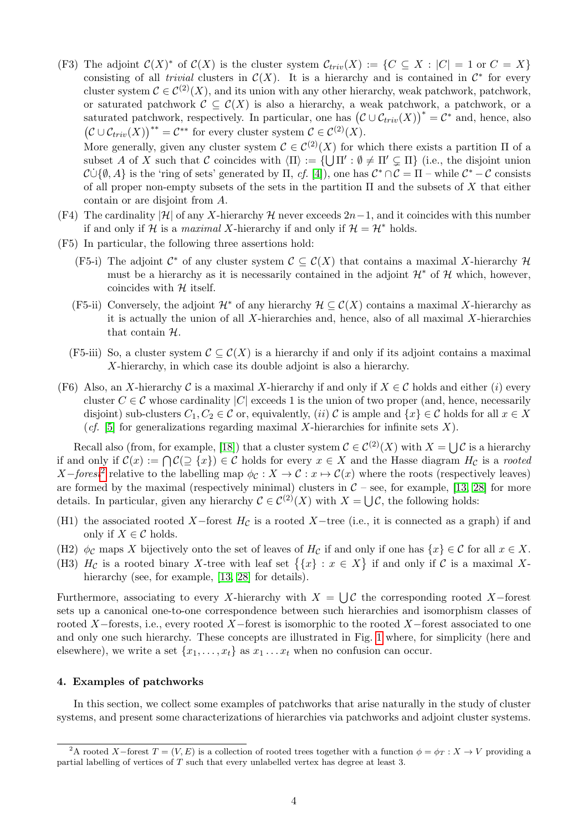(F3) The adjoint  $\mathcal{C}(X)^*$  of  $\mathcal{C}(X)$  is the cluster system  $\mathcal{C}_{triv}(X) := \{C \subseteq X : |C| = 1 \text{ or } C = X\}$ consisting of all *trivial* clusters in  $C(X)$ . It is a hierarchy and is contained in  $C^*$  for every cluster system  $\mathcal{C} \in \mathcal{C}^{(2)}(X)$ , and its union with any other hierarchy, weak patchwork, patchwork, or saturated patchwork  $C \subseteq C(X)$  is also a hierarchy, a weak patchwork, a patchwork, or a saturated patchwork, respectively. In particular, one has  $(C \cup \mathcal{C}_{triv}(X))^* = C^*$  and, hence, also  $(C \cup \mathcal{C}_{triv}(X))^{**} = C^{**}$  for every cluster system  $C \in C^{(2)}(X)$ .

More generally, given any cluster system  $\mathcal{C} \in \mathcal{C}^{(2)}(X)$  for which there exists a partition  $\Pi$  of a subset A of X such that C coincides with  $\langle \Pi \rangle := \{ \bigcup \Pi' : \emptyset \neq \Pi' \subsetneq \Pi \}$  (i.e., the disjoint union  $\mathcal{C} \dot{\cup} \{\emptyset, A\}$  is the 'ring of sets' generated by  $\Pi$ , cf. [\[4\]](#page-15-8)), one has  $\mathcal{C}^* \cap \mathcal{C} = \Pi$  – while  $\mathcal{C}^* - \mathcal{C}$  consists of all proper non-empty subsets of the sets in the partition  $\Pi$  and the subsets of X that either contain or are disjoint from A.

- (F4) The cardinality  $|\mathcal{H}|$  of any X-hierarchy  $\mathcal{H}$  never exceeds  $2n-1$ , and it coincides with this number if and only if H is a maximal X-hierarchy if and only if  $\mathcal{H} = \mathcal{H}^*$  holds.
- (F5) In particular, the following three assertions hold:
	- (F5-i) The adjoint  $\mathcal{C}^*$  of any cluster system  $\mathcal{C} \subseteq \mathcal{C}(X)$  that contains a maximal X-hierarchy  $\mathcal{H}$ must be a hierarchy as it is necessarily contained in the adjoint  $\mathcal{H}^*$  of  $\mathcal{H}$  which, however, coincides with  $H$  itself.
	- (F5-ii) Conversely, the adjoint  $\mathcal{H}^*$  of any hierarchy  $\mathcal{H} \subseteq \mathcal{C}(X)$  contains a maximal X-hierarchy as it is actually the union of all  $X$ -hierarchies and, hence, also of all maximal  $X$ -hierarchies that contain H.
	- (F5-iii) So, a cluster system  $\mathcal{C} \subseteq \mathcal{C}(X)$  is a hierarchy if and only if its adjoint contains a maximal X-hierarchy, in which case its double adjoint is also a hierarchy.
- (F6) Also, an X-hierarchy C is a maximal X-hierarchy if and only if  $X \in \mathcal{C}$  holds and either (i) every cluster  $C \in \mathcal{C}$  whose cardinality |C| exceeds 1 is the union of two proper (and, hence, necessarily disjoint) sub-clusters  $C_1, C_2 \in \mathcal{C}$  or, equivalently, (*ii*)  $\mathcal{C}$  is ample and  $\{x\} \in \mathcal{C}$  holds for all  $x \in X$ (cf. [\[5\]](#page-15-9) for generalizations regarding maximal X-hierarchies for infinite sets X).

Recall also (from, for example, [\[18\]](#page-16-6)) that a cluster system  $\mathcal{C} \in C^{(2)}(X)$  with  $X = \bigcup \mathcal{C}$  is a hierarchy if and only if  $\mathcal{C}(x) := \bigcap \mathcal{C}(\supseteq \{x\}) \in \mathcal{C}$  holds for every  $x \in X$  and the Hasse diagram  $H_{\mathcal{C}}$  is a rooted X-forest<sup>[2](#page-3-1)</sup> relative to the labelling map  $\phi_{\mathcal{C}} : X \to \mathcal{C} : x \mapsto \mathcal{C}(x)$  where the roots (respectively leaves) are formed by the maximal (respectively minimal) clusters in  $C$  – see, for example, [\[13,](#page-15-4) [28\]](#page-16-3) for more details. In particular, given any hierarchy  $\mathcal{C} \in \mathcal{C}^{(2)}(X)$  with  $X = \bigcup \mathcal{C}$ , the following holds:

- (H1) the associated rooted X–forest  $H_{\mathcal{C}}$  is a rooted X–tree (i.e., it is connected as a graph) if and only if  $X \in \mathcal{C}$  holds.
- (H2)  $\phi_c$  maps X bijectively onto the set of leaves of  $H_c$  if and only if one has  $\{x\} \in \mathcal{C}$  for all  $x \in X$ .
- (H3)  $H_{\mathcal{C}}$  is a rooted binary X-tree with leaf set  $\{\{x\} : x \in X\}$  if and only if  $\mathcal{C}$  is a maximal X-hierarchy (see, for example, [\[13,](#page-15-4) [28\]](#page-16-3) for details).

Furthermore, associating to every X-hierarchy with  $X = \bigcup \mathcal{C}$  the corresponding rooted X-forest sets up a canonical one-to-one correspondence between such hierarchies and isomorphism classes of rooted X–forests, i.e., every rooted X–forest is isomorphic to the rooted X–forest associated to one and only one such hierarchy. These concepts are illustrated in Fig. [1](#page-4-0) where, for simplicity (here and elsewhere), we write a set  $\{x_1, \ldots, x_t\}$  as  $x_1 \ldots x_t$  when no confusion can occur.

## <span id="page-3-0"></span>4. Examples of patchworks

In this section, we collect some examples of patchworks that arise naturally in the study of cluster systems, and present some characterizations of hierarchies via patchworks and adjoint cluster systems.

<span id="page-3-1"></span><sup>&</sup>lt;sup>2</sup>A rooted X–forest  $T = (V, E)$  is a collection of rooted trees together with a function  $\phi = \phi_T : X \to V$  providing a partial labelling of vertices of  $T$  such that every unlabelled vertex has degree at least 3.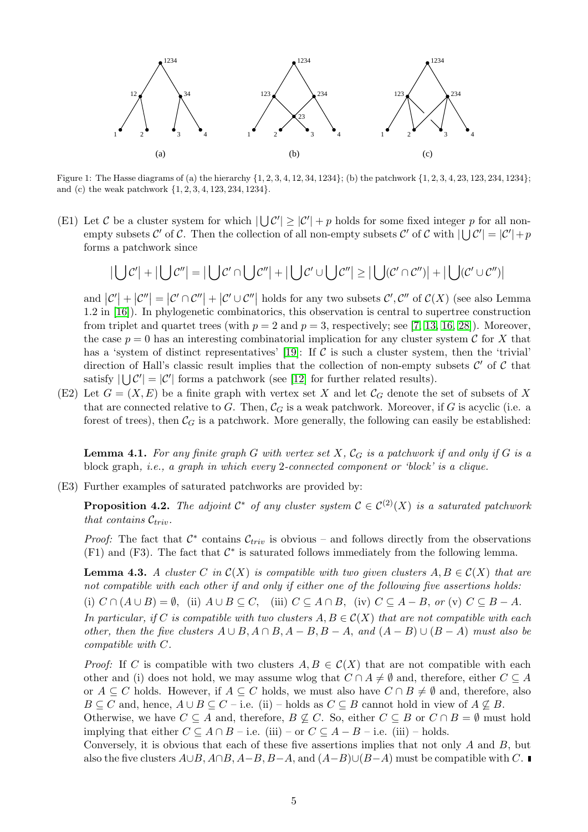

<span id="page-4-0"></span>Figure 1: The Hasse diagrams of (a) the hierarchy  $\{1, 2, 3, 4, 12, 34, 1234\}$ ; (b) the patchwork  $\{1, 2, 3, 4, 23, 123, 234, 1234\}$ ; and (c) the weak patchwork {1, 2, 3, 4, 123, 234, 1234}.

(E1) Let C be a cluster system for which  $|\bigcup C'| \geq |C'| + p$  holds for some fixed integer p for all nonempty subsets C' of C. Then the collection of all non-empty subsets C' of C with  $|\bigcup C'| = |C'| + p$ forms a patchwork since

$$
|\bigcup \mathcal{C}'| + |\bigcup \mathcal{C}''| = |\bigcup \mathcal{C}' \cap \bigcup \mathcal{C}''| + |\bigcup \mathcal{C}' \cup \bigcup \mathcal{C}''| \ge |\bigcup (\mathcal{C}' \cap \mathcal{C}'')| + |\bigcup (\mathcal{C}' \cup \mathcal{C}'')|
$$

and  $|\mathcal{C}'| + |\mathcal{C}''| = |\mathcal{C}' \cap \mathcal{C}''| + |\mathcal{C}' \cup \mathcal{C}''|$  holds for any two subsets  $\mathcal{C}', \mathcal{C}''$  of  $\mathcal{C}(X)$  (see also Lemma 1.2 in [\[16\]](#page-15-10)). In phylogenetic combinatorics, this observation is central to supertree construction from triplet and quartet trees (with  $p = 2$  and  $p = 3$ , respectively; see [\[7,](#page-15-5) [13,](#page-15-4) [16,](#page-15-10) [28\]](#page-16-3)). Moreover, the case  $p = 0$  has an interesting combinatorial implication for any cluster system C for X that has a 'system of distinct representatives' [\[19\]](#page-16-7): If  $\mathcal C$  is such a cluster system, then the 'trivial' direction of Hall's classic result implies that the collection of non-empty subsets  $\mathcal{C}'$  of  $\mathcal{C}$  that satisfy  $|\bigcup \mathcal{C}'| = |\mathcal{C}'|$  forms a patchwork (see [\[12\]](#page-15-11) for further related results).

(E2) Let  $G = (X, E)$  be a finite graph with vertex set X and let  $\mathcal{C}_G$  denote the set of subsets of X that are connected relative to G. Then,  $\mathcal{C}_G$  is a weak patchwork. Moreover, if G is acyclic (i.e. a forest of trees), then  $\mathcal{C}_G$  is a patchwork. More generally, the following can easily be established:

<span id="page-4-2"></span>**Lemma 4.1.** For any finite graph G with vertex set X,  $\mathcal{C}_G$  is a patchwork if and only if G is a block graph, i.e., a graph in which every 2-connected component or 'block' is a clique.

(E3) Further examples of saturated patchworks are provided by:

**Proposition 4.2.** The adjoint  $\mathcal{C}^*$  of any cluster system  $\mathcal{C} \in \mathcal{C}^{(2)}(X)$  is a saturated patchwork that contains  $\mathcal{C}_{triv}$ .

<span id="page-4-1"></span>*Proof:* The fact that  $C^*$  contains  $C_{triv}$  is obvious – and follows directly from the observations  $(F1)$  and  $(F3)$ . The fact that  $\mathcal{C}^*$  is saturated follows immediately from the following lemma.

**Lemma 4.3.** A cluster C in  $\mathcal{C}(X)$  is compatible with two given clusters  $A, B \in \mathcal{C}(X)$  that are not compatible with each other if and only if either one of the following five assertions holds: (i)  $C \cap (A \cup B) = \emptyset$ , (ii)  $A \cup B \subseteq C$ , (iii)  $C \subseteq A \cap B$ , (iv)  $C \subseteq A - B$ , or (v)  $C \subseteq B - A$ . In particular, if C is compatible with two clusters  $A, B \in C(X)$  that are not compatible with each other, then the five clusters  $A \cup B$ ,  $A \cap B$ ,  $A - B$ ,  $B - A$ , and  $(A - B) \cup (B - A)$  must also be compatible with C.

*Proof:* If C is compatible with two clusters  $A, B \in C(X)$  that are not compatible with each other and (i) does not hold, we may assume wlog that  $C \cap A \neq \emptyset$  and, therefore, either  $C \subseteq A$ or  $A \subseteq C$  holds. However, if  $A \subseteq C$  holds, we must also have  $C \cap B \neq \emptyset$  and, therefore, also  $B \subseteq C$  and, hence,  $A \cup B \subseteq C - i$ .e. (ii) – holds as  $C \subseteq B$  cannot hold in view of  $A \nsubseteq B$ .

Otherwise, we have  $C \subseteq A$  and, therefore,  $B \nsubseteq C$ . So, either  $C \subseteq B$  or  $C \cap B = \emptyset$  must hold implying that either  $C \subseteq A \cap B$  – i.e. (iii) – or  $C \subseteq A - B$  – i.e. (iii) – holds.

Conversely, it is obvious that each of these five assertions implies that not only  $A$  and  $B$ , but also the five clusters  $A\cup B$ ,  $A\cap B$ ,  $A-B$ ,  $B-A$ , and  $(A-B)\cup (B-A)$  must be compatible with C.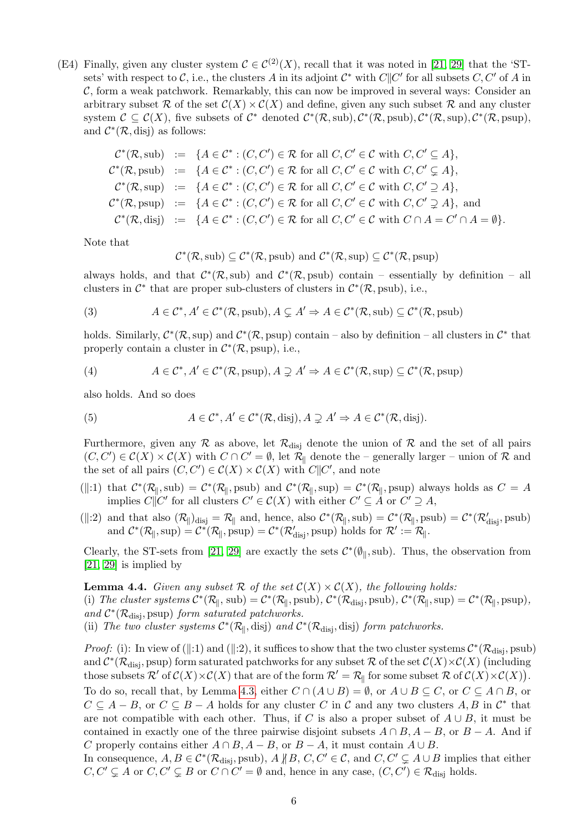(E4) Finally, given any cluster system  $\mathcal{C} \in \mathcal{C}^{(2)}(X)$ , recall that it was noted in [\[21,](#page-16-8) [29\]](#page-16-9) that the 'STsets' with respect to C, i.e., the clusters A in its adjoint  $\mathcal{C}^*$  with  $C||C'$  for all subsets  $C, C'$  of A in  $C$ , form a weak patchwork. Remarkably, this can now be improved in several ways: Consider an arbitrary subset R of the set  $\mathcal{C}(X) \times \mathcal{C}(X)$  and define, given any such subset R and any cluster system  $\mathcal{C} \subseteq \mathcal{C}(X)$ , five subsets of  $\mathcal{C}^*$  denoted  $\mathcal{C}^*(\mathcal{R}, \text{sub}), \mathcal{C}^*(\mathcal{R}, \text{sub}), \mathcal{C}^*(\mathcal{R}, \text{sup}), \mathcal{C}^*(\mathcal{R}, \text{sup}),$ and  $\mathcal{C}^*(\mathcal{R}, \text{disj})$  as follows:

$$
\mathcal{C}^*(\mathcal{R}, \text{sub}) := \{ A \in \mathcal{C}^* : (C, C') \in \mathcal{R} \text{ for all } C, C' \in \mathcal{C} \text{ with } C, C' \subseteq A \},
$$
  

$$
\mathcal{C}^*(\mathcal{R}, \text{psub}) := \{ A \in \mathcal{C}^* : (C, C') \in \mathcal{R} \text{ for all } C, C' \in \mathcal{C} \text{ with } C, C' \subseteq A \},
$$
  

$$
\mathcal{C}^*(\mathcal{R}, \text{sup}) := \{ A \in \mathcal{C}^* : (C, C') \in \mathcal{R} \text{ for all } C, C' \in \mathcal{C} \text{ with } C, C' \supseteq A \},
$$
  

$$
\mathcal{C}^*(\mathcal{R}, \text{psup}) := \{ A \in \mathcal{C}^* : (C, C') \in \mathcal{R} \text{ for all } C, C' \in \mathcal{C} \text{ with } C, C' \supsetneq A \},
$$
and  

$$
\mathcal{C}^*(\mathcal{R}, \text{disj}) := \{ A \in \mathcal{C}^* : (C, C') \in \mathcal{R} \text{ for all } C, C' \in \mathcal{C} \text{ with } C \cap A = C' \cap A = \emptyset \}.
$$

Note that

<span id="page-5-0"></span>
$$
\mathcal{C}^*(\mathcal{R}, \text{sub}) \subseteq \mathcal{C}^*(\mathcal{R}, \text{psub})
$$
 and  $\mathcal{C}^*(\mathcal{R}, \text{sup}) \subseteq \mathcal{C}^*(\mathcal{R}, \text{psup})$ 

always holds, and that  $\mathcal{C}^*(\mathcal{R},\text{sub})$  and  $\mathcal{C}^*(\mathcal{R},\text{psub})$  contain – essentially by definition – all clusters in  $\mathcal{C}^*$  that are proper sub-clusters of clusters in  $\mathcal{C}^*(\mathcal{R}, \text{psub})$ , i.e.,

(3) 
$$
A \in C^*, A' \in C^*(\mathcal{R}, \text{psub}), A \subsetneq A' \Rightarrow A \in C^*(\mathcal{R}, \text{sub}) \subseteq C^*(\mathcal{R}, \text{psub})
$$

holds. Similarly,  $\mathcal{C}^*(\mathcal{R}, \text{sup})$  and  $\mathcal{C}^*(\mathcal{R}, \text{psup})$  contain – also by definition – all clusters in  $\mathcal{C}^*$  that properly contain a cluster in  $\mathcal{C}^*(\mathcal{R}, \text{psup})$ , i.e.,

<span id="page-5-1"></span>(4) 
$$
A \in C^*, A' \in C^*(\mathcal{R}, \text{psup}), A \supsetneq A' \Rightarrow A \in C^*(\mathcal{R}, \text{sup}) \subseteq C^*(\mathcal{R}, \text{psup})
$$

also holds. And so does

<span id="page-5-2"></span>(5) 
$$
A \in \mathcal{C}^*, A' \in \mathcal{C}^*(\mathcal{R}, \text{disj}), A \supsetneq A' \Rightarrow A \in \mathcal{C}^*(\mathcal{R}, \text{disj}).
$$

Furthermore, given any  $\mathcal R$  as above, let  $\mathcal R_{\text{disj}}$  denote the union of  $\mathcal R$  and the set of all pairs  $(C, C') \in \mathcal{C}(X) \times \mathcal{C}(X)$  with  $C \cap C' = \emptyset$ , let  $\mathcal{R}_{\parallel}$  denote the – generally larger – union of  $\mathcal{R}$  and the set of all pairs  $(C, C') \in C(X) \times C(X)$  with  $C||C'$ , and note

- (||:1) that  $\mathcal{C}^*(\mathcal{R}_{\parallel}, \text{sub}) = \mathcal{C}^*(\mathcal{R}_{\parallel}, \text{psub})$  and  $\mathcal{C}^*(\mathcal{R}_{\parallel}, \text{sup}) = \mathcal{C}^*(\mathcal{R}_{\parallel}, \text{psup})$  always holds as  $C = A$ implies  $C\parallel C'$  for all clusters  $C' \in \mathcal{C}(X)$  with either  $C' \subseteq A$  or  $C' \supseteq A$ ,
- (||:2) and that also  $(\mathcal{R}_{\parallel})_{\text{disj}} = \mathcal{R}_{\parallel}$  and, hence, also  $\mathcal{C}^*(\mathcal{R}_{\parallel}, \text{sub}) = \mathcal{C}^*(\mathcal{R}_{\parallel}, \text{psub}) = \mathcal{C}^*(\mathcal{R}_{\text{disj}}', \text{psub})$ and  $C^*(\mathcal{R}_{\parallel}, \text{sup}) = C^*(\mathcal{R}_{\parallel}, \text{psup}) = C^*(\mathcal{R}'_{\text{disj}}, \text{psup})$  holds for  $\mathcal{R}' := \mathcal{R}_{\parallel}.$

Clearly, the ST-sets from [\[21,](#page-16-8) [29\]](#page-16-9) are exactly the sets  $\mathcal{C}^*(\emptyset_{\parallel}, \text{sub})$ . Thus, the observation from [\[21,](#page-16-8) [29\]](#page-16-9) is implied by

**Lemma 4.4.** Given any subset R of the set  $C(X) \times C(X)$ , the following holds:

(i) The cluster systems  $C^*(\mathcal{R}_{\parallel}, \text{sub}) = C^*(\mathcal{R}_{\parallel}, \text{psub})$ ,  $C^*(\mathcal{R}_{disj}, \text{psub})$ ,  $C^*(\mathcal{R}_{\parallel}, \text{sup}) = C^*(\mathcal{R}_{\parallel}, \text{psup})$ , and  $C^*(\mathcal{R}_{\text{disj}}, \text{psup})$  form saturated patchworks.

(ii) The two cluster systems  $C^*(\mathcal{R}_{\parallel}, \text{disj})$  and  $C^*(\mathcal{R}_{\text{disj}}, \text{disj})$  form patchworks.

*Proof:* (i): In view of (||:1) and (||:2), it suffices to show that the two cluster systems  $\mathcal{C}^*(\mathcal{R}_{disj}, \text{psub})$ and  $\mathcal{C}^*(\mathcal{R}_{\text{disj}},\text{psup})$  form saturated patchworks for any subset  $\mathcal{R}$  of the set  $\mathcal{C}(X)\times\mathcal{C}(X)$  (including those subsets  $\mathcal{R}'$  of  $\mathcal{C}(X) \times \mathcal{C}(X)$  that are of the form  $\mathcal{R}' = \mathcal{R}_{\parallel}$  for some subset  $\mathcal{R}$  of  $\mathcal{C}(X) \times \mathcal{C}(X)$ .

To do so, recall that, by Lemma [4.3,](#page-4-1) either  $C \cap (A \cup B) = \emptyset$ , or  $A \cup B \subseteq C$ , or  $C \subseteq A \cap B$ , or  $C \subseteq A - B$ , or  $C \subseteq B - A$  holds for any cluster C in C and any two clusters A, B in  $\mathcal{C}^*$  that are not compatible with each other. Thus, if C is also a proper subset of  $A \cup B$ , it must be contained in exactly one of the three pairwise disjoint subsets  $A \cap B$ ,  $A - B$ , or  $B - A$ . And if C properly contains either  $A \cap B$ ,  $A - B$ , or  $B - A$ , it must contain  $A \cup B$ .

In consequence,  $A, B \in C^*(\mathcal{R}_{\text{disj}}, \text{psub})$ ,  $A \nparallel B$ ,  $C, C' \in \mathcal{C}$ , and  $C, C' \subsetneq A \cup B$  implies that either  $C, C' \subsetneq A$  or  $C, C' \subsetneq B$  or  $C \cap C' = \emptyset$  and, hence in any case,  $(C, C') \in \mathcal{R}_{\text{disj}}$  holds.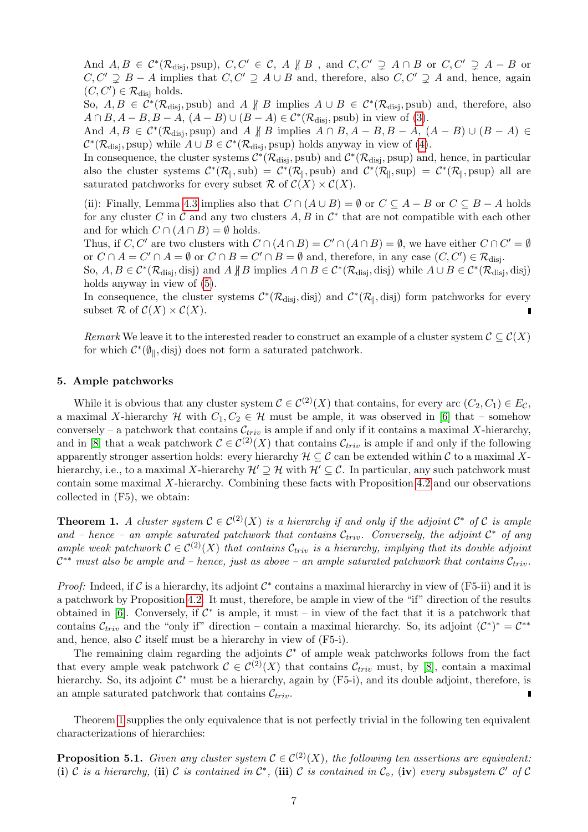And  $A, B \in C^*(\mathcal{R}_{\text{disj}}, \text{psup})$ ,  $C, C' \in \mathcal{C}, A \nparallel B$ , and  $C, C' \supsetneq A \cap B$  or  $C, C' \supsetneq A - B$  or  $C, C' \supsetneq B - A$  implies that  $C, C' \supsetneq A \cup B$  and, therefore, also  $C, C' \supsetneq A$  and, hence, again  $(C, C') \in \mathcal{R}_{\text{disj}}$  holds.

So,  $A, B \in C^*(\mathcal{R}_{\text{disj}}, \text{psub})$  and  $A \nparallel B$  implies  $A \cup B \in C^*(\mathcal{R}_{\text{disj}}, \text{psub})$  and, therefore, also  $A \cap B, A - B, B - A, (A - B) \cup (B - A) \in C^*(\mathcal{R}_{\text{disj}}, \text{psub})$  in view of [\(3\)](#page-5-0).

And  $A, B \in C^*(\mathcal{R}_{\text{disj}}, \text{psup})$  and  $A \not\parallel B$  implies  $A \cap B, A - B, B - A, (A - B) \cup (B - A) \in$  $\mathcal{C}^*(\mathcal{R}_{\text{disj}}, \text{psup})$  while  $A \cup B \in \mathcal{C}^*(\mathcal{R}_{\text{disj}}, \text{psup})$  holds anyway in view of [\(4\)](#page-5-1).

In consequence, the cluster systems  $\mathcal{C}^*(\mathcal{R}_{\text{disj}}, \text{psub})$  and  $\mathcal{C}^*(\mathcal{R}_{\text{disj}}, \text{psup})$  and, hence, in particular also the cluster systems  $\mathcal{C}^*(\mathcal{R}_{\parallel}, \text{sub}) = \mathcal{C}^*(\mathcal{R}_{\parallel}, \text{psub})$  and  $\mathcal{C}^*(\mathcal{R}_{\parallel}, \text{sup}) = \mathcal{C}^*(\mathcal{R}_{\parallel}, \text{psup})$  all are saturated patchworks for every subset  $\mathcal{R}$  of  $\mathcal{C}(X) \times \mathcal{C}(X)$ .

(ii): Finally, Lemma [4.3](#page-4-1) implies also that  $C \cap (A \cup B) = \emptyset$  or  $C \subseteq A - B$  or  $C \subseteq B - A$  holds for any cluster C in C and any two clusters  $A, B$  in  $\mathcal{C}^*$  that are not compatible with each other and for which  $C \cap (A \cap B) = \emptyset$  holds.

Thus, if C, C' are two clusters with  $C \cap (A \cap B) = C' \cap (A \cap B) = \emptyset$ , we have either  $C \cap C' = \emptyset$ or  $C \cap A = C' \cap A = \emptyset$  or  $C \cap B = C' \cap B = \emptyset$  and, therefore, in any case  $(C, C') \in \mathcal{R}_{disj}$ . So,  $A, B \in C^*(\mathcal{R}_{\text{disj}}, \text{disj})$  and  $A \not\parallel B$  implies  $A \cap B \in C^*(\mathcal{R}_{\text{disj}}, \text{disj})$  while  $A \cup B \in C^*(\mathcal{R}_{\text{disj}}, \text{disj})$ holds anyway in view of [\(5\)](#page-5-2).

In consequence, the cluster systems  $\mathcal{C}^*(\mathcal{R}_{disj},\text{disj})$  and  $\mathcal{C}^*(\mathcal{R}_{\parallel},\text{disj})$  form patchworks for every subset  $\mathcal{R}$  of  $\mathcal{C}(X) \times \mathcal{C}(X)$ .

Remark We leave it to the interested reader to construct an example of a cluster system  $\mathcal{C} \subseteq \mathcal{C}(X)$ for which  $C^*(\emptyset_{\parallel}, \text{disj})$  does not form a saturated patchwork.

## 5. Ample patchworks

While it is obvious that any cluster system  $\mathcal{C} \in C^{(2)}(X)$  that contains, for every arc  $(C_2, C_1) \in E_{\mathcal{C}}$ , a maximal X-hierarchy H with  $C_1, C_2 \in \mathcal{H}$  must be ample, it was observed in [\[6\]](#page-15-7) that – somehow conversely – a patchwork that contains  $\mathcal{C}_{triv}$  is ample if and only if it contains a maximal X-hierarchy, and in [\[8\]](#page-15-12) that a weak patchwork  $C \in C^{(2)}(X)$  that contains  $\mathcal{C}_{triv}$  is ample if and only if the following apparently stronger assertion holds: every hierarchy  $\mathcal{H} \subseteq \mathcal{C}$  can be extended within  $\mathcal{C}$  to a maximal Xhierarchy, i.e., to a maximal X-hierarchy  $\mathcal{H}' \supseteq \mathcal{H}$  with  $\mathcal{H}' \subseteq \mathcal{C}$ . In particular, any such patchwork must contain some maximal X-hierarchy. Combining these facts with Proposition [4.2](#page-4-2) and our observations collected in (F5), we obtain:

<span id="page-6-0"></span>**Theorem 1.** A cluster system  $C \in C^{(2)}(X)$  is a hierarchy if and only if the adjoint  $C^*$  of C is ample and – hence – an ample saturated patchwork that contains  $\mathcal{C}_{triv}$ . Conversely, the adjoint  $\mathcal{C}^*$  of any ample weak patchwork  $\mathcal{C} \in \mathcal{C}^{(2)}(X)$  that contains  $\mathcal{C}_{triv}$  is a hierarchy, implying that its double adjoint  $\mathcal{C}^{**}$  must also be ample and – hence, just as above – an ample saturated patchwork that contains  $\mathcal{C}_{triv}$ .

Proof: Indeed, if C is a hierarchy, its adjoint  $C^*$  contains a maximal hierarchy in view of (F5-ii) and it is a patchwork by Proposition [4.2.](#page-4-2) It must, therefore, be ample in view of the "if" direction of the results obtained in [\[6\]](#page-15-7). Conversely, if  $\mathcal{C}^*$  is ample, it must – in view of the fact that it is a patchwork that contains  $\mathcal{C}_{triv}$  and the "only if" direction – contain a maximal hierarchy. So, its adjoint  $(\mathcal{C}^*)^* = \mathcal{C}^{**}$ and, hence, also  $\mathcal C$  itself must be a hierarchy in view of  $(F5-i)$ .

The remaining claim regarding the adjoints  $C^*$  of ample weak patchworks follows from the fact that every ample weak patchwork  $\mathcal{C} \in \mathcal{C}^{(2)}(X)$  that contains  $\mathcal{C}_{triv}$  must, by [\[8\]](#page-15-12), contain a maximal hierarchy. So, its adjoint  $\mathcal{C}^*$  must be a hierarchy, again by (F5-i), and its double adjoint, therefore, is an ample saturated patchwork that contains  $\mathcal{C}_{triv}$ .

Theorem [1](#page-6-0) supplies the only equivalence that is not perfectly trivial in the following ten equivalent characterizations of hierarchies:

**Proposition 5.1.** Given any cluster system  $\mathcal{C} \in C^{(2)}(X)$ , the following ten assertions are equivalent: (i) C is a hierarchy, (ii) C is contained in  $\mathcal{C}^*$ , (iii) C is contained in  $\mathcal{C}_0$ , (iv) every subsystem  $\mathcal{C}'$  of  $\mathcal{C}$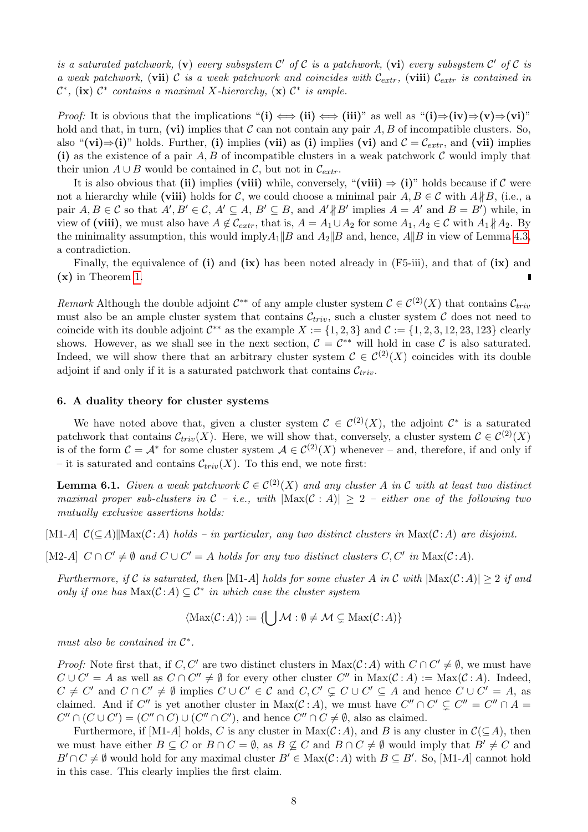is a saturated patchwork, (v) every subsystem  $\mathcal{C}'$  of  $\mathcal C$  is a patchwork, (vi) every subsystem  $\mathcal C'$  of  $\mathcal C$  is a weak patchwork, (vii) C is a weak patchwork and coincides with  $\mathcal{C}_{extr}$ , (viii)  $\mathcal{C}_{extr}$  is contained in  $\mathcal{C}^*$ , (ix)  $\mathcal{C}^*$  contains a maximal X-hierarchy, (x)  $\mathcal{C}^*$  is ample.

*Proof:* It is obvious that the implications "(i)  $\iff$  (ii)  $\iff$  (iii)" as well as "(i) $\Rightarrow$  (iv) $\Rightarrow$  (v) $\Rightarrow$  (vi)" hold and that, in turn, (vi) implies that C can not contain any pair A, B of incompatible clusters. So, also "(vi)⇒(i)" holds. Further, (i) implies (vii) as (i) implies (vi) and  $\mathcal{C} = \mathcal{C}_{extr}$ , and (vii) implies (i) as the existence of a pair  $A, B$  of incompatible clusters in a weak patchwork  $C$  would imply that their union  $A \cup B$  would be contained in C, but not in  $\mathcal{C}_{extr}$ .

It is also obvious that (ii) implies (viii) while, conversely, "(viii)  $\Rightarrow$  (i)" holds because if C were not a hierarchy while (viii) holds for C, we could choose a minimal pair  $A, B \in \mathcal{C}$  with  $A \nparallel B$ , (i.e., a pair  $A, B \in \mathcal{C}$  so that  $A', B' \in \mathcal{C}, A' \subseteq A, B' \subseteq B$ , and  $A' \nparallel B'$  implies  $A = A'$  and  $B = B'$ ) while, in view of (viii), we must also have  $A \notin \mathcal{C}_{extr}$ , that is,  $A = A_1 \cup A_2$  for some  $A_1, A_2 \in \mathcal{C}$  with  $A_1 \nparallel A_2$ . By the minimality assumption, this would imply  $A_1||B$  and  $A_2||B$  and, hence,  $A||B$  in view of Lemma [4.3,](#page-4-1) a contradiction.

Finally, the equivalence of  $(i)$  and  $(ix)$  has been noted already in  $(F5-iii)$ , and that of  $(ix)$  and (x) in Theorem [1.](#page-6-0)

Remark Although the double adjoint  $\mathcal{C}^{**}$  of any ample cluster system  $\mathcal{C} \in \mathcal{C}^{(2)}(X)$  that contains  $\mathcal{C}_{triv}$ must also be an ample cluster system that contains  $\mathcal{C}_{triv}$ , such a cluster system  $\mathcal C$  does not need to coincide with its double adjoint  $\mathcal{C}^{**}$  as the example  $X := \{1, 2, 3\}$  and  $\mathcal{C} := \{1, 2, 3, 12, 23, 123\}$  clearly shows. However, as we shall see in the next section,  $C = C^{**}$  will hold in case C is also saturated. Indeed, we will show there that an arbitrary cluster system  $\mathcal{C} \in C^{(2)}(X)$  coincides with its double adjoint if and only if it is a saturated patchwork that contains  $\mathcal{C}_{triv}$ .

#### <span id="page-7-0"></span>6. A duality theory for cluster systems

We have noted above that, given a cluster system  $\mathcal{C} \in \mathcal{C}^{(2)}(X)$ , the adjoint  $\mathcal{C}^*$  is a saturated patchwork that contains  $\mathcal{C}_{triv}(X)$ . Here, we will show that, conversely, a cluster system  $\mathcal{C} \in \mathcal{C}^{(2)}(X)$ is of the form  $\mathcal{C} = \mathcal{A}^*$  for some cluster system  $\mathcal{A} \in \mathcal{C}^{(2)}(X)$  whenever – and, therefore, if and only if – it is saturated and contains  $\mathcal{C}_{triv}(X)$ . To this end, we note first:

**Lemma 6.1.** Given a weak patchwork  $C \in C^{(2)}(X)$  and any cluster A in C with at least two distinct maximal proper sub-clusters in  $C - i.e.,$  with  $|\text{Max}(C : A)| \geq 2 - \text{either one of the following two}$ mutually exclusive assertions holds:

[M1-A]  $\mathcal{C}(\subseteq A)$ ||Max $(\mathcal{C} : A)$  holds – in particular, any two distinct clusters in Max $(\mathcal{C} : A)$  are disjoint.

[M2-A]  $C \cap C' \neq \emptyset$  and  $C \cup C' = A$  holds for any two distinct clusters  $C, C'$  in  $Max(C:A)$ .

Furthermore, if C is saturated, then [M1-A] holds for some cluster A in C with  $|\text{Max}(\mathcal{C}:A)| \geq 2$  if and only if one has  $\text{Max}(\mathcal{C}:A) \subseteq \mathcal{C}^*$  in which case the cluster system

<span id="page-7-1"></span> $\langle \text{Max}(\mathcal{C} : A) \rangle := \{ \mid \bigcup \mathcal{M} : \emptyset \neq \mathcal{M} \subsetneq \text{Max}(\mathcal{C} : A) \}$ 

must also be contained in  $\mathcal{C}^*$ .

*Proof:* Note first that, if C, C' are two distinct clusters in Max( $C : A$ ) with  $C \cap C' \neq \emptyset$ , we must have  $C \cup C' = A$  as well as  $C \cap C'' \neq \emptyset$  for every other cluster  $C''$  in  $Max(C:A) := Max(C:A)$ . Indeed,  $C \neq C'$  and  $C \cap C' \neq \emptyset$  implies  $C \cup C' \in C$  and  $C, C' \subsetneq C \cup C' \subseteq A$  and hence  $C \cup C' = A$ , as claimed. And if C'' is yet another cluster in Max $(C : A)$ , we must have  $C'' \cap C' \subsetneq C'' = C'' \cap A =$  $C'' \cap (C \cup C') = (C'' \cap C) \cup (C'' \cap C')$ , and hence  $C'' \cap C \neq \emptyset$ , also as claimed.

Furthermore, if [M1-A] holds, C is any cluster in Max $(C : A)$ , and B is any cluster in  $C(\subseteq A)$ , then we must have either  $B \subseteq C$  or  $B \cap C = \emptyset$ , as  $B \nsubseteq C$  and  $B \cap C \neq \emptyset$  would imply that  $B' \neq C$  and  $B' \cap C \neq \emptyset$  would hold for any maximal cluster  $B' \in \text{Max}(\mathcal{C} : A)$  with  $B \subseteq B'$ . So, [M1-A] cannot hold in this case. This clearly implies the first claim.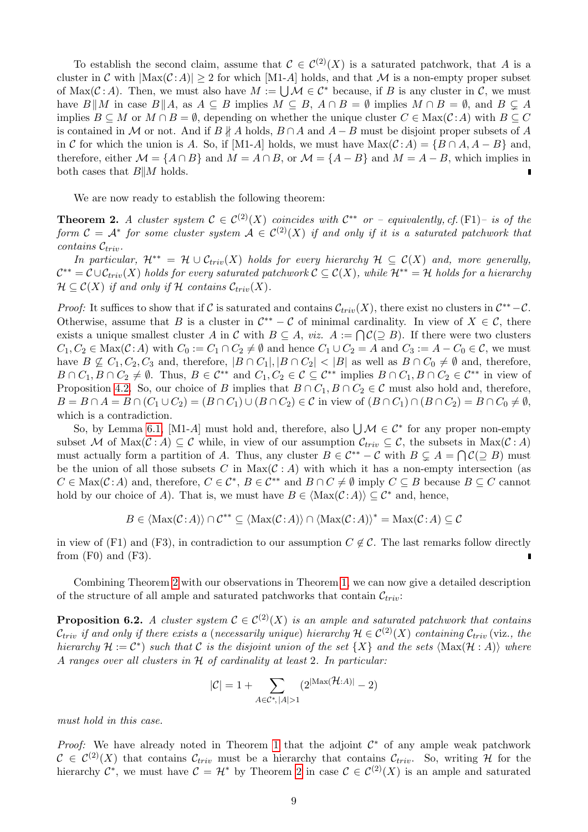To establish the second claim, assume that  $\mathcal{C} \in C^{(2)}(X)$  is a saturated patchwork, that A is a cluster in C with  $|\text{Max}(\mathcal{C}:A)| \geq 2$  for which  $|\text{M1-}A|$  holds, and that M is a non-empty proper subset of Max( $\mathcal{C}: A$ ). Then, we must also have  $M := \bigcup \mathcal{M} \in \mathcal{C}^*$  because, if B is any cluster in C, we must have  $B||M$  in case  $B||A$ , as  $A \subseteq B$  implies  $M \subseteq B$ ,  $A \cap B = \emptyset$  implies  $M \cap B = \emptyset$ , and  $B \subseteq A$ implies  $B \subseteq M$  or  $M \cap B = \emptyset$ , depending on whether the unique cluster  $C \in \text{Max}(\mathcal{C} : A)$  with  $B \subseteq C$ is contained in M or not. And if  $B \nparallel A$  holds,  $B \cap A$  and  $A - B$  must be disjoint proper subsets of A in C for which the union is A. So, if [M1-A] holds, we must have  $Max(C:A) = {B \cap A, A - B}$  and, therefore, either  $\mathcal{M} = \{A \cap B\}$  and  $M = A \cap B$ , or  $\mathcal{M} = \{A - B\}$  and  $M = A - B$ , which implies in both cases that  $B||M$  holds.

<span id="page-8-0"></span>We are now ready to establish the following theorem:

**Theorem 2.** A cluster system  $C \in C^{(2)}(X)$  coincides with  $C^{**}$  or – equivalently, cf. (F1)– is of the form  $C = A^*$  for some cluster system  $A \in C^{(2)}(X)$  if and only if it is a saturated patchwork that  $contains C_{triv}.$ 

In particular,  $\mathcal{H}^{**} = \mathcal{H} \cup \mathcal{C}_{triv}(X)$  holds for every hierarchy  $\mathcal{H} \subseteq \mathcal{C}(X)$  and, more generally,  $\mathcal{C}^{**}=\mathcal{C}\cup\mathcal{C}_{triv}(X)$  holds for every saturated patchwork  $\mathcal{C}\subseteq\mathcal{C}(X)$ , while  $\mathcal{H}^{**}=\mathcal{H}$  holds for a hierarchy  $\mathcal{H} \subseteq \mathcal{C}(X)$  if and only if H contains  $\mathcal{C}_{triv}(X)$ .

*Proof:* It suffices to show that if C is saturated and contains  $\mathcal{C}_{triv}(X)$ , there exist no clusters in  $\mathcal{C}^{**}-\mathcal{C}$ . Otherwise, assume that B is a cluster in  $\mathcal{C}^{**} - \mathcal{C}$  of minimal cardinality. In view of  $X \in \mathcal{C}$ , there exists a unique smallest cluster A in C with  $B \subseteq A$ , viz.  $A := \bigcap C(\supseteq B)$ . If there were two clusters  $C_1, C_2 \in \text{Max}(\mathcal{C}:A)$  with  $C_0 := C_1 \cap C_2 \neq \emptyset$  and hence  $C_1 \cup C_2 = A$  and  $C_3 := A - C_0 \in \mathcal{C}$ , we must have  $B \nsubseteq C_1, C_2, C_3$  and, therefore,  $|B \cap C_1|, |B \cap C_2| < |B|$  as well as  $B \cap C_0 \neq \emptyset$  and, therefore,  $B \cap C_1, B \cap C_2 \neq \emptyset$ . Thus,  $B \in C^{**}$  and  $C_1, C_2 \in \mathcal{C} \subseteq C^{**}$  implies  $B \cap C_1, B \cap C_2 \in C^{**}$  in view of Proposition [4.2.](#page-4-2) So, our choice of B implies that  $B \cap C_1, B \cap C_2 \in \mathcal{C}$  must also hold and, therefore,  $B = B \cap A = B \cap (C_1 \cup C_2) = (B \cap C_1) \cup (B \cap C_2) \in \mathcal{C}$  in view of  $(B \cap C_1) \cap (B \cap C_2) = B \cap C_0 \neq \emptyset$ , which is a contradiction.

So, by Lemma [6.1,](#page-7-1) [M1-A] must hold and, therefore, also  $\bigcup \mathcal{M} \in \mathcal{C}^*$  for any proper non-empty subset M of Max $(C : A) \subseteq C$  while, in view of our assumption  $\mathcal{C}_{triv} \subseteq C$ , the subsets in Max $(C : A)$ must actually form a partition of A. Thus, any cluster  $B \in \mathcal{C}^{**} - \mathcal{C}$  with  $B \subsetneq A = \bigcap \mathcal{C}(\supseteq B)$  must be the union of all those subsets C in  $Max(C : A)$  with which it has a non-empty intersection (as  $C \in \text{Max}(\mathcal{C}:A)$  and, therefore,  $C \in \mathcal{C}^*$ ,  $B \in \mathcal{C}^{**}$  and  $B \cap C \neq \emptyset$  imply  $C \subseteq B$  because  $B \subseteq C$  cannot hold by our choice of A). That is, we must have  $B \in \langle \text{Max}(\mathcal{C} : A) \rangle \subseteq \mathcal{C}^*$  and, hence,

$$
B \in \langle \text{Max}(\mathcal{C}:A) \rangle \cap \mathcal{C}^{**} \subseteq \langle \text{Max}(\mathcal{C}:A) \rangle \cap \langle \text{Max}(\mathcal{C}:A) \rangle^* = \text{Max}(\mathcal{C}:A) \subseteq \mathcal{C}
$$

in view of (F1) and (F3), in contradiction to our assumption  $C \notin \mathcal{C}$ . The last remarks follow directly from  $(F0)$  and  $(F3)$ .

Combining Theorem [2](#page-8-0) with our observations in Theorem [1,](#page-6-0) we can now give a detailed description of the structure of all ample and saturated patchworks that contain  $\mathcal{C}_{triv}$ :

**Proposition 6.2.** A cluster system  $C \in C^{(2)}(X)$  is an ample and saturated patchwork that contains  $\mathcal{C}_{triv}$  if and only if there exists a (necessarily unique) hierarchy  $\mathcal{H} \in \mathcal{C}^{(2)}(X)$  containing  $\mathcal{C}_{triv}$  (viz., the hierarchy  $\mathcal{H} := \mathcal{C}^*$  such that  $\mathcal C$  is the disjoint union of the set  $\{X\}$  and the sets  $\langle \text{Max}(\mathcal{H} : A) \rangle$  where A ranges over all clusters in  $H$  of cardinality at least 2. In particular:

$$
|\mathcal{C}|=1+\sum_{A\in\mathcal{C}^*,\,|A|>1}(2^{|{\rm Max}(\mathcal{H}:A)|}-2)
$$

must hold in this case.

*Proof:* We have already noted in Theorem [1](#page-6-0) that the adjoint  $C^*$  of any ample weak patchwork  $C \in C^{(2)}(X)$  that contains  $\mathcal{C}_{triv}$  must be a hierarchy that contains  $\mathcal{C}_{triv}$ . So, writing H for the hierarchy  $\mathcal{C}^*$ , we must have  $\mathcal{C} = \mathcal{H}^*$  by Theorem [2](#page-8-0) in case  $\mathcal{C} \in \mathcal{C}^{(2)}(X)$  is an ample and saturated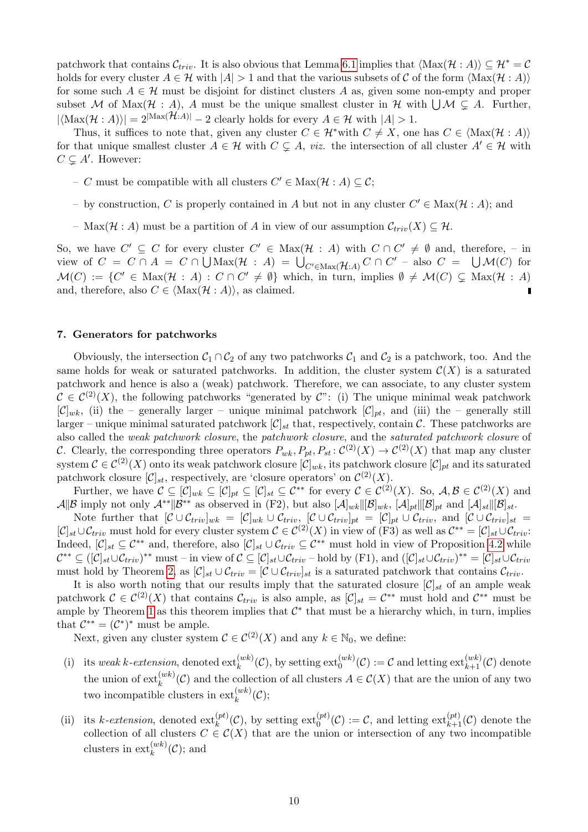patchwork that contains  $\mathcal{C}_{triv}$ . It is also obvious that Lemma [6.1](#page-7-1) implies that  $\langle \text{Max}(\mathcal{H} : A) \rangle \subseteq \mathcal{H}^* = \mathcal{C}$ holds for every cluster  $A \in \mathcal{H}$  with  $|A| > 1$  and that the various subsets of C of the form  $\langle \text{Max}(\mathcal{H} : A) \rangle$ for some such  $A \in \mathcal{H}$  must be disjoint for distinct clusters A as, given some non-empty and proper subset M of Max $(\mathcal{H} : A)$ , A must be the unique smallest cluster in  $\mathcal{H}$  with  $\bigcup \mathcal{M} \subsetneq A$ . Further,  $|\langle \text{Max}(\mathcal{H} : A) \rangle| = 2^{|{\text{Max}}(\mathcal{H}:A)|} - 2$  clearly holds for every  $A \in \mathcal{H}$  with  $|A| > 1$ .

Thus, it suffices to note that, given any cluster  $C \in \mathcal{H}^*$  with  $C \neq X$ , one has  $C \in \langle \text{Max}(\mathcal{H} : A) \rangle$ for that unique smallest cluster  $A \in \mathcal{H}$  with  $C \subsetneq A$ , viz. the intersection of all cluster  $A' \in \mathcal{H}$  with  $C \subsetneq A'$ . However:

- − C must be compatible with all clusters  $C' \in \text{Max}(\mathcal{H} : A) \subseteq \mathcal{C}$ ;
- by construction, C is properly contained in A but not in any cluster  $C' \in Max(\mathcal{H}: A)$ ; and
- Max $(\mathcal{H}: A)$  must be a partition of A in view of our assumption  $\mathcal{C}_{triv}(X) \subseteq \mathcal{H}$ .

So, we have  $C' \subseteq C$  for every cluster  $C' \in Max(\mathcal{H} : A)$  with  $C \cap C' \neq \emptyset$  and, therefore, - in view of  $C = C \cap A = C \cap \bigcup \text{Max}(\mathcal{H} : A) = \bigcup_{C' \in \text{Max}(\mathcal{H}:A)} C \cap C'$  - also  $C = \bigcup \mathcal{M}(C)$  for  $\mathcal{M}(C) := \{C' \in \text{Max}(\mathcal{H} : A) : C \cap C' \neq \emptyset\}$  which, in turn, implies  $\emptyset \neq \mathcal{M}(C) \subsetneq \text{Max}(\mathcal{H} : A)$ and, therefore, also  $C \in \langle \text{Max}(\mathcal{H} : A) \rangle$ , as claimed.

#### <span id="page-9-0"></span>7. Generators for patchworks

Obviously, the intersection  $C_1 \cap C_2$  of any two patchworks  $C_1$  and  $C_2$  is a patchwork, too. And the same holds for weak or saturated patchworks. In addition, the cluster system  $\mathcal{C}(X)$  is a saturated patchwork and hence is also a (weak) patchwork. Therefore, we can associate, to any cluster system  $\mathcal{C} \in \mathcal{C}^{(2)}(X)$ , the following patchworks "generated by  $\mathcal{C}$ ": (i) The unique minimal weak patchwork  $[\mathcal{C}]_{wk}$ , (ii) the – generally larger – unique minimal patchwork  $[\mathcal{C}]_{pt}$ , and (iii) the – generally still larger – unique minimal saturated patchwork  $[\mathcal{C}]_{st}$  that, respectively, contain  $\mathcal{C}$ . These patchworks are also called the weak patchwork closure, the patchwork closure, and the saturated patchwork closure of C. Clearly, the corresponding three operators  $P_{wk}, P_{pt}, P_{st} : C^{(2)}(X) \to C^{(2)}(X)$  that map any cluster system  $\mathcal{C} \in \mathcal{C}^{(2)}(X)$  onto its weak patchwork closure  $[\mathcal{C}]_{wk}$ , its patchwork closure  $[\mathcal{C}]_{pt}$  and its saturated patchwork closure  $[\mathcal{C}]_{st}$ , respectively, are 'closure operators' on  $\mathcal{C}^{(2)}(X)$ .

Further, we have  $\mathcal{C} \subseteq [\mathcal{C}]_{wk} \subseteq [\mathcal{C}]_{pt} \subseteq [\mathcal{C}]_{st} \subseteq \overline{\mathcal{C}}^{**}$  for every  $\mathcal{C} \in \mathcal{C}^{(2)}(X)$ . So,  $\mathcal{A}, \mathcal{B} \in \mathcal{C}^{(2)}(X)$  and  $\mathcal{A}||\mathcal{B}$  imply not only  $\mathcal{A}^{**}||\mathcal{B}^{**}$  as observed in (F2), but also  $[\mathcal{A}]_{wk}||[\mathcal{B}]_{wk}$ ,  $[\mathcal{A}]_{pt}||[\mathcal{B}]_{pt}$  and  $[\mathcal{A}]_{st}||[\mathcal{B}]_{st}$ .

Note further that  $[\mathcal{C} \cup \mathcal{C}_{triv}]_{wk} = [\mathcal{C}]_{wk} \cup \mathcal{C}_{triv}$ ,  $[\mathcal{C} \cup \mathcal{C}_{triv}]_{pt} = [\mathcal{C}]_{pt} \cup \mathcal{C}_{triv}$ , and  $[\mathcal{C} \cup \mathcal{C}_{triv}]_{st}$  $[\mathcal{C}]_{st}\cup\mathcal{C}_{triv}$  must hold for every cluster system  $\mathcal{C}\in\mathcal{C}^{(2)}(X)$  in view of  $(F3)$  as well as  $\mathcal{C}^{**}=[\mathcal{C}]_{st}\cup\mathcal{C}_{triv}$ : Indeed,  $[\mathcal{C}]_{st} \subseteq \mathcal{C}^{**}$  and, therefore, also  $[\mathcal{C}]_{st} \cup \mathcal{C}_{triv} \subseteq \mathcal{C}^{**}$  must hold in view of Proposition [4.2](#page-4-2) while  $\mathcal{C}^{**} \subseteq ([\mathcal{C}]_{st} \cup \mathcal{C}_{triv})^{**}$  must – in view of  $\mathcal{C} \subseteq [\mathcal{C}]_{st} \cup \mathcal{C}_{triv}$  – hold by (F1), and  $([\mathcal{C}]_{st} \cup \mathcal{C}_{triv})^{**} = [\mathcal{C}]_{st} \cup \mathcal{C}_{triv}$ must hold by Theorem [2,](#page-8-0) as  $[\mathcal{C}]_{st} \cup \mathcal{C}_{triv} = [\mathcal{C} \cup \mathcal{C}_{triv}]_{st}$  is a saturated patchwork that contains  $\mathcal{C}_{triv}$ .

It is also worth noting that our results imply that the saturated closure  $[\mathcal{C}]_{st}$  of an ample weak patchwork  $\mathcal{C} \in \mathcal{C}^{(2)}(X)$  that contains  $\mathcal{C}_{triv}$  is also ample, as  $[\mathcal{C}]_{st} = \mathcal{C}^{**}$  must hold and  $\mathcal{C}^{**}$  must be ample by Theorem [1](#page-6-0) as this theorem implies that  $\mathcal{C}^*$  that must be a hierarchy which, in turn, implies that  $\mathcal{C}^{**} = (\mathcal{C}^*)^*$  must be ample.

Next, given any cluster system  $\mathcal{C} \in \mathcal{C}^{(2)}(X)$  and any  $k \in \mathbb{N}_0$ , we define:

- (i) its weak k-extension, denoted  $ext_k^{(wk)}(\mathcal{C})$ , by setting  $ext_k^{(wk)}(\mathcal{C}) := \mathcal{C}$  and letting  $ext_{k+1}^{(wk)}(\mathcal{C})$  denote the union of  $ext{ext}_{k}^{(wk)}(\mathcal{C})$  and the collection of all clusters  $A \in \mathcal{C}(X)$  that are the union of any two two incompatible clusters in  $ext_k^{(wk)}(\mathcal{C});$
- (ii) its k-extension, denoted  $ext_k^{(pt)}(\mathcal{C})$ , by setting  $ext_0^{(pt)}(\mathcal{C}) := \mathcal{C}$ , and letting  $ext_{k+1}^{(pt)}(\mathcal{C})$  denote the collection of all clusters  $C \in \mathcal{C}(X)$  that are the union or intersection of any two incompatible clusters in  $ext{ext}_{k}^{(wk)}(\mathcal{C})$ ; and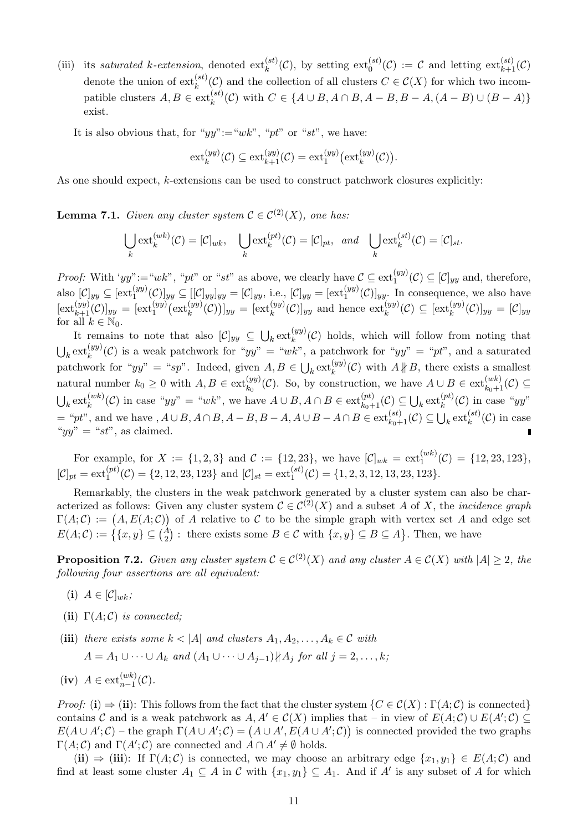- (iii) its saturated k-extension, denoted  $ext_k^{(st)}(\mathcal{C})$ , by setting  $ext_0^{(st)}(\mathcal{C}) := \mathcal{C}$  and letting  $ext_{k+1}^{(st)}(\mathcal{C})$ denote the union of  $ext_k^{(st)}(\mathcal{C})$  and the collection of all clusters  $C \in \mathcal{C}(X)$  for which two incompatible clusters  $A, B \in ext_k^{(st)}(\mathcal{C})$  with  $C \in \{A \cup B, A \cap B, A - B, B - A, (A - B) \cup (B - A)\}\$ exist.
	- It is also obvious that, for " $yy$ ":=" $wk$ ", " $pt$ " or " $st$ ", we have:

$$
\operatorname{ext}^{(yy)}_k(\mathcal{C}) \subseteq \operatorname{ext}^{(yy)}_{k+1}(\mathcal{C}) = \operatorname{ext}^{(yy)}_1(\operatorname{ext}^{(yy)}_k(\mathcal{C})).
$$

<span id="page-10-0"></span>As one should expect, k-extensions can be used to construct patchwork closures explicitly:

**Lemma 7.1.** Given any cluster system  $\mathcal{C} \in C^{(2)}(X)$ , one has:

$$
\bigcup_{k} \text{ext}_{k}^{(wk)}(\mathcal{C}) = [\mathcal{C}]_{wk}, \quad \bigcup_{k} \text{ext}_{k}^{(pt)}(\mathcal{C}) = [\mathcal{C}]_{pt}, \quad \text{and} \quad \bigcup_{k} \text{ext}_{k}^{(st)}(\mathcal{C}) = [\mathcal{C}]_{st}.
$$

*Proof:* With 'yy":="wk", "pt" or "st" as above, we clearly have  $\mathcal{C} \subseteq \text{ext}_1^{(yy)}(\mathcal{C}) \subseteq [\mathcal{C}]_{yy}$  and, therefore, also  $[\mathcal{C}]_{yy} \subseteq [\text{ext}_{1}^{(yy)}(\mathcal{C})]_{yy} \subseteq [[\mathcal{C}]_{yy}]_{yy} = [\mathcal{C}]_{yy}$ , i.e.,  $[\mathcal{C}]_{yy} = [\text{ext}_{1}^{(yy)}(\mathcal{C})]_{yy}$ . In consequence, we also have  $[\text{ext}_{k+1}^{(yy)}(\mathcal{C})]_{yy} = [\text{ext}_{1}^{(yy)}(\text{ext}_{k}^{(yy)}(\mathcal{C}))]_{yy} = [\text{ext}_{k}^{(yy)}(\mathcal{C})]_{yy} \text{ and hence } \text{ext}_{k}^{(yy)}(\mathcal{C}) \subseteq [\text{ext}_{k}^{(yy)}(\mathcal{C})]_{yy} = [\mathcal{C}]_{yy}$ for all  $k \in \mathbb{N}_0$ .

It remains to note that also  $[\mathcal{C}]_{yy} \subseteq \bigcup_k \text{ext}_{k}^{(yy)}(\mathcal{C})$  holds, which will follow from noting that  $\bigcup_k \text{ext}_{k}^{(yy)}(\mathcal{C})$  is a weak patchwork for "yy" = "wk", a patchwork for "yy" = "pt", and a saturated patchwork for " $yy'' =$  "sp". Indeed, given  $A, B \in \bigcup_k \text{ext}_{k}^{(yy)}(\mathcal{C})$  with  $A \nparallel B$ , there exists a smallest natural number  $k_0 \geq 0$  with  $A, B \in ext_{k_0}^{(yy)}(\mathcal{C})$ . So, by construction, we have  $A \cup B \in ext_{k_0+1}^{(wk)}(\mathcal{C})$  $\bigcup_k \text{ext}_{k}^{(wk)}(\mathcal{C})$  in case "yy" = "wk", we have  $A \cup B$ ,  $A \cap B \in \text{ext}_{k_0+1}^{(pt)}(\mathcal{C}) \subseteq \bigcup_k \text{ext}_{k}^{(pt)}(\mathcal{C})$  in case "yy"  $=$  "pt", and we have ,  $A \cup B$ ,  $A \cap B$ ,  $A - B$ ,  $B - A$ ,  $A \cup B - A \cap B \in ext_{k_0+1}^{(st)}(\mathcal{C}) \subseteq \bigcup_k ext_k^{(st)}(\mathcal{C})$  in case " $yy" = "st"$ , as claimed.

For example, for  $X := \{1, 2, 3\}$  and  $C := \{12, 23\}$ , we have  $[\mathcal{C}]_{wk} = \text{ext}_{1}^{(wk)}(\mathcal{C}) = \{12, 23, 123\}$ ,  $[\mathcal{C}]_{pt} = \text{ext}_{1}^{(pt)}(\mathcal{C}) = \{2, 12, 23, 123\}$  and  $[\mathcal{C}]_{st} = \text{ext}_{1}^{(st)}(\mathcal{C}) = \{1, 2, 3, 12, 13, 23, 123\}.$ 

Remarkably, the clusters in the weak patchwork generated by a cluster system can also be characterized as follows: Given any cluster system  $\mathcal{C} \in \mathcal{C}^{(2)}(X)$  and a subset A of X, the *incidence graph*  $\Gamma(A; \mathcal{C}) := (A, E(A; \mathcal{C}))$  of A relative to C to be the simple graph with vertex set A and edge set  $E(A; \mathcal{C}) := \left\{ \{x, y\} \subseteq {A \choose 2} : \text{ there exists some } B \in \mathcal{C} \text{ with } \{x, y\} \subseteq B \subseteq A \right\}.$  Then, we have

<span id="page-10-1"></span>**Proposition 7.2.** Given any cluster system  $C \in C^{(2)}(X)$  and any cluster  $A \in C(X)$  with  $|A| \geq 2$ , the following four assertions are all equivalent:

- (i)  $A \in [\mathcal{C}]_{wk};$
- (ii)  $\Gamma(A; \mathcal{C})$  is connected;
- (iii) there exists some  $k < |A|$  and clusters  $A_1, A_2, \ldots, A_k \in \mathcal{C}$  with  $A = A_1 \cup \cdots \cup A_k$  and  $(A_1 \cup \cdots \cup A_{i-1}) \nparallel A_i$  for all  $i = 2, \ldots, k$ ;
- (iv)  $A \in \text{ext}_{n-1}^{(wk)}(\mathcal{C})$ .

Proof: (i)  $\Rightarrow$  (ii): This follows from the fact that the cluster system  $\{C \in \mathcal{C}(X) : \Gamma(A; \mathcal{C})$  is connected} contains C and is a weak patchwork as  $A, A' \in C(X)$  implies that – in view of  $E(A; C) \cup E(A'; C) \subseteq$  $E(A \cup A';\mathcal{C})$  – the graph  $\Gamma(A \cup A';\mathcal{C}) = (A \cup A', E(A \cup A';\mathcal{C}))$  is connected provided the two graphs  $\Gamma(A; \mathcal{C})$  and  $\Gamma(A'; \mathcal{C})$  are connected and  $A \cap A' \neq \emptyset$  holds.

(ii)  $\Rightarrow$  (iii): If  $\Gamma(A; \mathcal{C})$  is connected, we may choose an arbitrary edge  $\{x_1, y_1\} \in E(A; \mathcal{C})$  and find at least some cluster  $A_1 \subseteq A$  in C with  $\{x_1, y_1\} \subseteq A_1$ . And if A' is any subset of A for which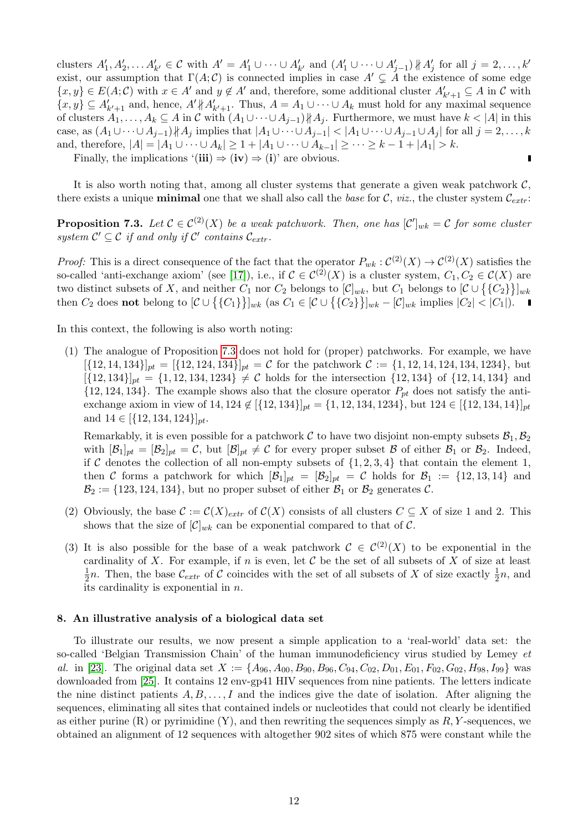clusters  $A'_1, A'_2, \ldots A'_{k'} \in \mathcal{C}$  with  $A' = A'_1 \cup \cdots \cup A'_{k'}$  and  $(A'_1 \cup \cdots \cup A'_{j-1}) \nparallel A'_j$  for all  $j = 2, \ldots, k'$ exist, our assumption that  $\Gamma(A; \mathcal{C})$  is connected implies in case  $A' \subsetneq A$  the existence of some edge  $\{x, y\} \in E(A; \mathcal{C})$  with  $x \in A'$  and  $y \notin A'$  and, therefore, some additional cluster  $A'_{k'+1} \subseteq A$  in  $\mathcal C$  with  $\{x, y\} \subseteq A'_{k'+1}$  and, hence,  $A' \nparallel A'_{k'+1}$ . Thus,  $A = A_1 \cup \cdots \cup A_k$  must hold for any maximal sequence of clusters  $A_1, \ldots, A_k \subseteq A$  in C with  $(A_1 \cup \cdots \cup A_{j-1}) \nparallel A_j$ . Furthermore, we must have  $k < |A|$  in this case, as  $(A_1 \cup \cdots \cup A_{j-1}) \nparallel A_j$  implies that  $|A_1 \cup \cdots \cup A_{j-1}| < |A_1 \cup \cdots \cup A_{j-1} \cup A_j|$  for all  $j = 2, \ldots, k$ and, therefore,  $|A| = |A_1 \cup \cdots \cup A_k| \ge 1 + |A_1 \cup \cdots \cup A_{k-1}| \ge \cdots \ge k-1 + |A_1| > k$ . r

Finally, the implications  $'$ (iii)  $\Rightarrow$  (iv)  $\Rightarrow$  (i)' are obvious.

It is also worth noting that, among all cluster systems that generate a given weak patchwork  $\mathcal{C}$ , there exists a unique **minimal** one that we shall also call the base for C, viz., the cluster system  $C_{extr}$ .

<span id="page-11-1"></span>**Proposition 7.3.** Let  $\mathcal{C} \in C^{(2)}(X)$  be a weak patchwork. Then, one has  $[\mathcal{C}']_{wk} = \mathcal{C}$  for some cluster system  $\mathcal{C}' \subseteq \mathcal{C}$  if and only if  $\mathcal{C}'$  contains  $\mathcal{C}_{extr}$ .

*Proof:* This is a direct consequence of the fact that the operator  $P_{wk}: C^{(2)}(X) \to C^{(2)}(X)$  satisfies the so-called 'anti-exchange axiom' (see [\[17\]](#page-15-13)), i.e., if  $\mathcal{C} \in C^{(2)}(X)$  is a cluster system,  $C_1, C_2 \in C(X)$  are two distinct subsets of X, and neither  $C_1$  nor  $C_2$  belongs to  $[\mathcal{C}]_{wk}$ , but  $C_1$  belongs to  $[\mathcal{C} \cup {\{C_2\}}]_{wk}$ then  $C_2$  does **not** belong to  $[\mathcal{C} \cup {\{C_1\}}\}]_{wk}$  (as  $C_1 \in [\mathcal{C} \cup {\{C_2\}}\}]_{wk} - [\mathcal{C}]_{wk}$  implies  $|C_2| < |C_1|$ ).

In this context, the following is also worth noting:

(1) The analogue of Proposition [7.3](#page-11-1) does not hold for (proper) patchworks. For example, we have  $[\{12, 14, 134\}]_{pt} = [\{12, 124, 134\}]_{pt} = \mathcal{C}$  for the patchwork  $\mathcal{C} := \{1, 12, 14, 124, 134, 1234\}$ , but  $[\{12, 134\}]_{pt} = \{1, 12, 134, 1234\} \neq C$  holds for the intersection  $\{12, 134\}$  of  $\{12, 14, 134\}$  and  $\{12, 124, 134\}.$  The example shows also that the closure operator  $P_{pt}$  does not satisfy the antiexchange axiom in view of 14, 124  $\notin [{12, 134}]_{pt} = {1, 12, 134, 1234}$ , but  $124 \in [{12, 134, 14}]_{pt}$ and  $14 \in [{12, 134, 124}]_{pt}$ .

Remarkably, it is even possible for a patchwork C to have two disjoint non-empty subsets  $\mathcal{B}_1, \mathcal{B}_2$ with  $[\mathcal{B}_1]_{pt} = [\mathcal{B}_2]_{pt} = \mathcal{C}$ , but  $[\mathcal{B}]_{pt} \neq \mathcal{C}$  for every proper subset  $\mathcal{B}$  of either  $\mathcal{B}_1$  or  $\mathcal{B}_2$ . Indeed, if C denotes the collection of all non-empty subsets of  $\{1, 2, 3, 4\}$  that contain the element 1, then C forms a patchwork for which  $[\mathcal{B}_1]_{pt} = [\mathcal{B}_2]_{pt} = C$  holds for  $\mathcal{B}_1 := \{12, 13, 14\}$  and  $\mathcal{B}_2 := \{123, 124, 134\}$ , but no proper subset of either  $\mathcal{B}_1$  or  $\mathcal{B}_2$  generates C.

- (2) Obviously, the base  $\mathcal{C} := \mathcal{C}(X)_{extr}$  of  $\mathcal{C}(X)$  consists of all clusters  $C \subseteq X$  of size 1 and 2. This shows that the size of  $[\mathcal{C}]_{wk}$  can be exponential compared to that of  $\mathcal{C}$ .
- (3) It is also possible for the base of a weak patchwork  $\mathcal{C} \in \mathcal{C}^{(2)}(X)$  to be exponential in the cardinality of X. For example, if n is even, let  $\mathcal C$  be the set of all subsets of X of size at least 1  $\frac{1}{2}n$ . Then, the base  $\mathcal{C}_{extr}$  of  $\mathcal C$  coincides with the set of all subsets of X of size exactly  $\frac{1}{2}n$ , and its cardinality is exponential in  $n$ .

## <span id="page-11-0"></span>8. An illustrative analysis of a biological data set

To illustrate our results, we now present a simple application to a 'real-world' data set: the so-called 'Belgian Transmission Chain' of the human immunodeficiency virus studied by Lemey  $et$ al. in [\[23\]](#page-16-4). The original data set  $X := \{A_{96}, A_{00}, B_{90}, B_{96}, C_{94}, C_{02}, D_{01}, E_{01}, F_{02}, G_{02}, H_{98}, I_{99}\}$  was downloaded from [\[25\]](#page-16-10). It contains 12 env-gp41 HIV sequences from nine patients. The letters indicate the nine distinct patients  $A, B, \ldots, I$  and the indices give the date of isolation. After aligning the sequences, eliminating all sites that contained indels or nucleotides that could not clearly be identified as either purine  $(R)$  or pyrimidine  $(Y)$ , and then rewriting the sequences simply as  $R, Y$ -sequences, we obtained an alignment of 12 sequences with altogether 902 sites of which 875 were constant while the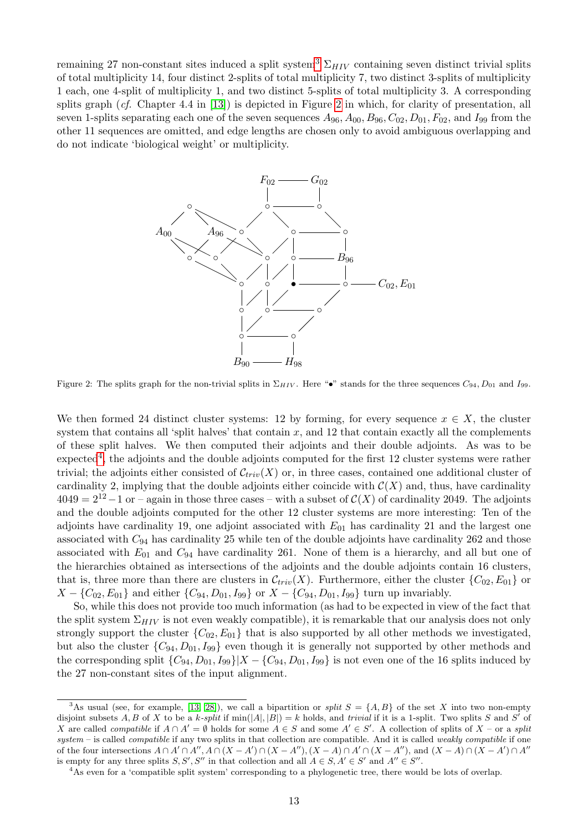remaining 27 non-constant sites induced a split system<sup>[3](#page-12-0)</sup>  $\Sigma_{HIV}$  containing seven distinct trivial splits of total multiplicity 14, four distinct 2-splits of total multiplicity 7, two distinct 3-splits of multiplicity 1 each, one 4-split of multiplicity 1, and two distinct 5-splits of total multiplicity 3. A corresponding splits graph  $(cf.$  Chapter 4.4 in  $[13]$ ) is depicted in Figure [2](#page-12-1) in which, for clarity of presentation, all seven 1-splits separating each one of the seven sequences  $A_{96}$ ,  $A_{00}$ ,  $B_{96}$ ,  $C_{02}$ ,  $D_{01}$ ,  $F_{02}$ , and  $I_{99}$  from the other 11 sequences are omitted, and edge lengths are chosen only to avoid ambiguous overlapping and do not indicate 'biological weight' or multiplicity.



<span id="page-12-1"></span>Figure 2: The splits graph for the non-trivial splits in  $\Sigma_{HIV}$ . Here "•" stands for the three sequences  $C_{94}$ ,  $D_{01}$  and  $I_{99}$ .

We then formed 24 distinct cluster systems: 12 by forming, for every sequence  $x \in X$ , the cluster system that contains all 'split halves' that contain x, and 12 that contain exactly all the complements of these split halves. We then computed their adjoints and their double adjoints. As was to be  $\alpha$  expected<sup>[4](#page-12-2)</sup>, the adjoints and the double adjoints computed for the first 12 cluster systems were rather trivial; the adjoints either consisted of  $\mathcal{C}_{triv}(X)$  or, in three cases, contained one additional cluster of cardinality 2, implying that the double adjoints either coincide with  $\mathcal{C}(X)$  and, thus, have cardinality  $4049 = 2^{12} - 1$  or – again in those three cases – with a subset of  $C(X)$  of cardinality 2049. The adjoints and the double adjoints computed for the other 12 cluster systems are more interesting: Ten of the adjoints have cardinality 19, one adjoint associated with  $E_{01}$  has cardinality 21 and the largest one associated with  $C_{94}$  has cardinality 25 while ten of the double adjoints have cardinality 262 and those associated with  $E_{01}$  and  $C_{94}$  have cardinality 261. None of them is a hierarchy, and all but one of the hierarchies obtained as intersections of the adjoints and the double adjoints contain 16 clusters, that is, three more than there are clusters in  $\mathcal{C}_{triv}(X)$ . Furthermore, either the cluster  $\{C_{02}, E_{01}\}$  or  $X - \{C_{02}, E_{01}\}\$ and either  $\{C_{94}, D_{01}, I_{99}\}\$  or  $X - \{C_{94}, D_{01}, I_{99}\}\$  turn up invariably.

So, while this does not provide too much information (as had to be expected in view of the fact that the split system  $\Sigma_{HIV}$  is not even weakly compatible), it is remarkable that our analysis does not only strongly support the cluster  ${C_{02}, E_{01}}$  that is also supported by all other methods we investigated, but also the cluster  ${C_{94}, D_{01}, I_{99}}$  even though it is generally not supported by other methods and the corresponding split  $\{C_{94}, D_{01}, I_{99}\}|X - \{C_{94}, D_{01}, I_{99}\}\$  is not even one of the 16 splits induced by the 27 non-constant sites of the input alignment.

<span id="page-12-0"></span><sup>&</sup>lt;sup>3</sup>As usual (see, for example, [\[13,](#page-15-4) [28\]](#page-16-3)), we call a bipartition or *split*  $S = \{A, B\}$  of the set X into two non-empty disjoint subsets A, B of X to be a k-split if  $min(|A|, |B|) = k$  holds, and trivial if it is a 1-split. Two splits S and S' of X are called *compatible* if  $A \cap A' = \emptyset$  holds for some  $A \in S$  and some  $A' \in S'$ . A collection of splits of X – or a split system – is called *compatible* if any two splits in that collection are compatible. And it is called *weakly compatible* if one of the four intersections  $A \cap A' \cap A''$ ,  $A \cap (X - A') \cap (X - A'')$ ,  $(X - A) \cap A' \cap (X - A'')$ , and  $(X - A) \cap (X - A') \cap A''$ is empty for any three splits  $S, S', S''$  in that collection and all  $A \in S, A' \in S'$  and  $A'' \in S''$ .

<span id="page-12-2"></span><sup>4</sup>As even for a 'compatible split system' corresponding to a phylogenetic tree, there would be lots of overlap.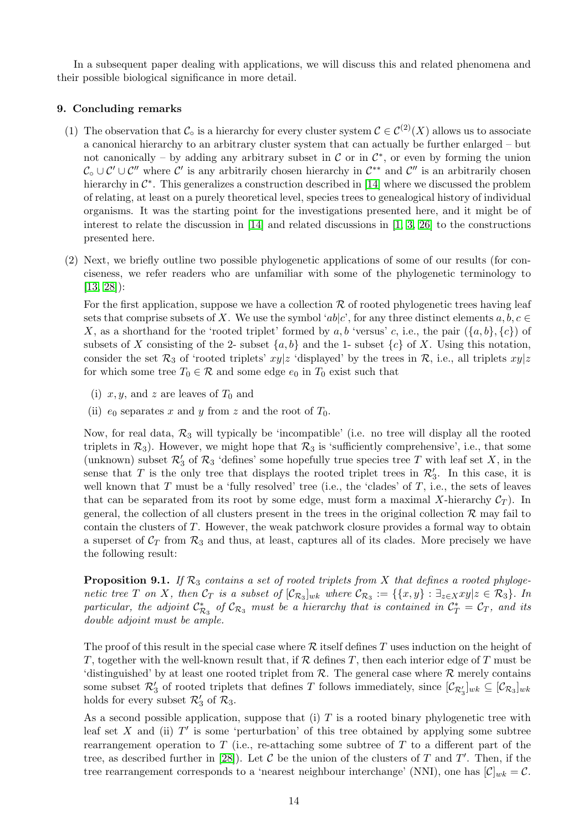In a subsequent paper dealing with applications, we will discuss this and related phenomena and their possible biological significance in more detail.

## <span id="page-13-0"></span>9. Concluding remarks

- (1) The observation that  $\mathcal{C}_{\text{o}}$  is a hierarchy for every cluster system  $\mathcal{C} \in \mathcal{C}^{(2)}(X)$  allows us to associate a canonical hierarchy to an arbitrary cluster system that can actually be further enlarged – but not canonically – by adding any arbitrary subset in  $\mathcal C$  or in  $\mathcal C^*$ , or even by forming the union  $\mathcal{C}_{\circ} \cup \mathcal{C}' \cup \mathcal{C}''$  where  $\mathcal{C}'$  is any arbitrarily chosen hierarchy in  $\mathcal{C}^{**}$  and  $\mathcal{C}''$  is an arbitrarily chosen hierarchy in  $\mathcal{C}^*$ . This generalizes a construction described in [\[14\]](#page-15-1) where we discussed the problem of relating, at least on a purely theoretical level, species trees to genealogical history of individual organisms. It was the starting point for the investigations presented here, and it might be of interest to relate the discussion in [\[14\]](#page-15-1) and related discussions in [\[1,](#page-15-14) [3,](#page-15-15) [26\]](#page-16-11) to the constructions presented here.
- (2) Next, we briefly outline two possible phylogenetic applications of some of our results (for conciseness, we refer readers who are unfamiliar with some of the phylogenetic terminology to [\[13,](#page-15-4) [28\]](#page-16-3)):

For the first application, suppose we have a collection  $R$  of rooted phylogenetic trees having leaf sets that comprise subsets of X. We use the symbol ' $ab|c'$ , for any three distinct elements  $a, b, c \in$ X, as a shorthand for the 'rooted triplet' formed by a, b 'versus' c, i.e., the pair  $({a, b}, {c})$  of subsets of X consisting of the 2- subset  $\{a, b\}$  and the 1- subset  $\{c\}$  of X. Using this notation, consider the set  $\mathcal{R}_3$  of 'rooted triplets'  $xy|z$  'displayed' by the trees in  $\mathcal{R}$ , i.e., all triplets  $xy|z$ for which some tree  $T_0 \in \mathcal{R}$  and some edge  $e_0$  in  $T_0$  exist such that

- (i)  $x, y$ , and z are leaves of  $T_0$  and
- (ii)  $e_0$  separates x and y from z and the root of  $T_0$ .

Now, for real data,  $\mathcal{R}_3$  will typically be 'incompatible' (i.e. no tree will display all the rooted triplets in  $\mathcal{R}_3$ ). However, we might hope that  $\mathcal{R}_3$  is 'sufficiently comprehensive', i.e., that some (unknown) subset  $\mathcal{R}'_3$  of  $\mathcal{R}_3$  'defines' some hopefully true species tree T with leaf set X, in the sense that T is the only tree that displays the rooted triplet trees in  $\mathcal{R}'_3$ . In this case, it is well known that  $T$  must be a 'fully resolved' tree (i.e., the 'clades' of  $T$ , i.e., the sets of leaves that can be separated from its root by some edge, must form a maximal X-hierarchy  $C_T$ ). In general, the collection of all clusters present in the trees in the original collection  $\mathcal{R}$  may fail to contain the clusters of T. However, the weak patchwork closure provides a formal way to obtain a superset of  $C_T$  from  $\mathcal{R}_3$  and thus, at least, captures all of its clades. More precisely we have the following result:

**Proposition 9.1.** If  $\mathcal{R}_3$  contains a set of rooted triplets from X that defines a rooted phylogenetic tree T on X, then  $C_T$  is a subset of  $[\mathcal{C}_{\mathcal{R}_3}]_{wk}$  where  $\mathcal{C}_{\mathcal{R}_3} := \{\{x, y\} : \exists_{z \in X} xy | z \in \mathcal{R}_3\}$ . In particular, the adjoint  $\mathcal{C}_{\mathcal{R}_3}^*$  of  $\mathcal{C}_{\mathcal{R}_3}$  must be a hierarchy that is contained in  $\mathcal{C}_T^* = \mathcal{C}_T$ , and its double adjoint must be ample.

The proof of this result in the special case where  $R$  itself defines T uses induction on the height of T, together with the well-known result that, if  $R$  defines T, then each interior edge of T must be 'distinguished' by at least one rooted triplet from  $\mathcal{R}$ . The general case where  $\mathcal{R}$  merely contains some subset  $\mathcal{R}'_3$  of rooted triplets that defines T follows immediately, since  $[\mathcal{C}_{\mathcal{R}'_3}]_{wk} \subseteq [\mathcal{C}_{\mathcal{R}_3}]_{wk}$ holds for every subset  $\mathcal{R}'_3$  of  $\mathcal{R}_3$ .

As a second possible application, suppose that (i)  $T$  is a rooted binary phylogenetic tree with leaf set X and (ii)  $T'$  is some 'perturbation' of this tree obtained by applying some subtree rearrangement operation to T (i.e., re-attaching some subtree of T to a different part of the tree, as described further in [\[28\]](#page-16-3)). Let C be the union of the clusters of T and T'. Then, if the tree rearrangement corresponds to a 'nearest neighbour interchange' (NNI), one has  $[\mathcal{C}]_{wk} = \mathcal{C}$ .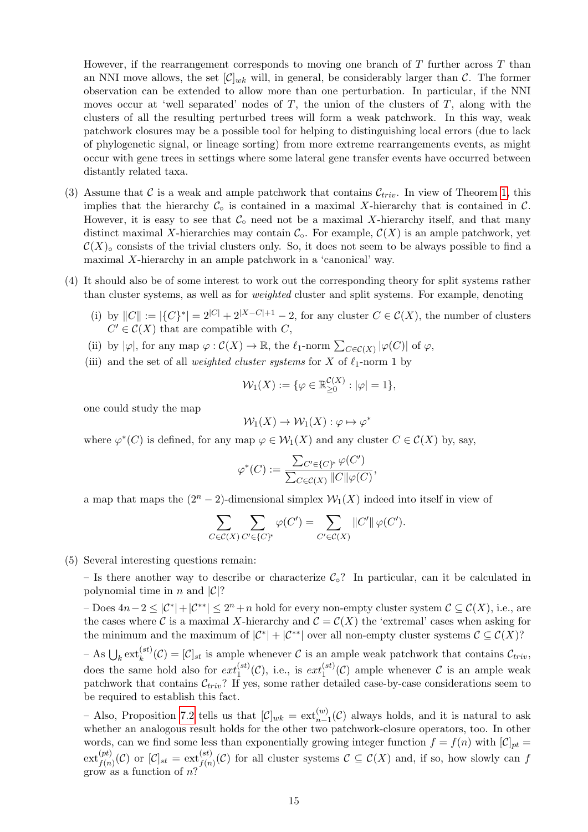However, if the rearrangement corresponds to moving one branch of  $T$  further across  $T$  than an NNI move allows, the set  $[\mathcal{C}]_{wk}$  will, in general, be considerably larger than  $\mathcal{C}$ . The former observation can be extended to allow more than one perturbation. In particular, if the NNI moves occur at 'well separated' nodes of  $T$ , the union of the clusters of  $T$ , along with the clusters of all the resulting perturbed trees will form a weak patchwork. In this way, weak patchwork closures may be a possible tool for helping to distinguishing local errors (due to lack of phylogenetic signal, or lineage sorting) from more extreme rearrangements events, as might occur with gene trees in settings where some lateral gene transfer events have occurred between distantly related taxa.

- (3) Assume that C is a weak and ample patchwork that contains  $\mathcal{C}_{triv}$ . In view of Theorem [1,](#page-6-0) this implies that the hierarchy  $\mathcal{C}_{\circ}$  is contained in a maximal X-hierarchy that is contained in  $\mathcal{C}$ . However, it is easy to see that  $\mathcal{C}_{\circ}$  need not be a maximal X-hierarchy itself, and that many distinct maximal X-hierarchies may contain  $\mathcal{C}_{\text{o}}$ . For example,  $\mathcal{C}(X)$  is an ample patchwork, yet  $\mathcal{C}(X)_{\circ}$  consists of the trivial clusters only. So, it does not seem to be always possible to find a maximal X-hierarchy in an ample patchwork in a 'canonical' way.
- (4) It should also be of some interest to work out the corresponding theory for split systems rather than cluster systems, as well as for *weighted* cluster and split systems. For example, denoting
	- (i) by  $||C|| := |\{C\}^*| = 2^{|C|} + 2^{|X C| + 1} 2$ , for any cluster  $C \in \mathcal{C}(X)$ , the number of clusters  $C' \in \mathcal{C}(X)$  that are compatible with  $C$ ,
	- (ii) by  $|\varphi|$ , for any map  $\varphi : \mathcal{C}(X) \to \mathbb{R}$ , the  $\ell_1$ -norm  $\sum_{C \in \mathcal{C}(X)} |\varphi(C)|$  of  $\varphi$ ,
	- (iii) and the set of all *weighted cluster systems* for X of  $\ell_1$ -norm 1 by

$$
\mathcal{W}_1(X) := \{ \varphi \in \mathbb{R}_{\geq 0}^{\mathcal{C}(X)} : |\varphi| = 1 \},\
$$

one could study the map

$$
\mathcal{W}_1(X) \to \mathcal{W}_1(X) : \varphi \mapsto \varphi^*
$$

where  $\varphi^*(C)$  is defined, for any map  $\varphi \in \mathcal{W}_1(X)$  and any cluster  $C \in \mathcal{C}(X)$  by, say,

$$
\varphi^*(C) := \frac{\sum_{C' \in \{C\}^*} \varphi(C')}{\sum_{C \in \mathcal{C}(X)} ||C|| \varphi(C)},
$$

a map that maps the  $(2^{n} - 2)$ -dimensional simplex  $\mathcal{W}_1(X)$  indeed into itself in view of

$$
\sum_{C \in \mathcal{C}(X)} \sum_{C' \in \{C\}^*} \varphi(C') = \sum_{C' \in \mathcal{C}(X)} ||C'|| \varphi(C').
$$

(5) Several interesting questions remain:

– Is there another way to describe or characterize  $C_0$ ? In particular, can it be calculated in polynomial time in n and  $|\mathcal{C}|$ ?

 $-$  Does  $4n-2 \leq |\mathcal{C}^*|+|\mathcal{C}^{**}| \leq 2^n + n$  hold for every non-empty cluster system  $\mathcal{C} \subseteq \mathcal{C}(X)$ , i.e., are the cases where C is a maximal X-hierarchy and  $\mathcal{C} = \mathcal{C}(X)$  the 'extremal' cases when asking for the minimum and the maximum of  $|\mathcal{C}^*| + |\mathcal{C}^{**}|$  over all non-empty cluster systems  $\mathcal{C} \subseteq \mathcal{C}(X)$ ?

 $-$  As  $\bigcup_k \text{ext}_{k}^{(st)}(\mathcal{C}) = [\mathcal{C}]_{st}$  is ample whenever  $\mathcal{C}$  is an ample weak patchwork that contains  $\mathcal{C}_{triv}$ , does the same hold also for  $ext_1^{(st)}(\mathcal{C})$ , i.e., is  $ext_1^{(st)}(\mathcal{C})$  ample whenever  $\mathcal C$  is an ample weak patchwork that contains  $\mathcal{C}_{triv}$ ? If yes, some rather detailed case-by-case considerations seem to be required to establish this fact.

– Also, Proposition [7.2](#page-10-1) tells us that  $[\mathcal{C}]_{wk} = \text{ext}_{n-1}^{(w)}(\mathcal{C})$  always holds, and it is natural to ask whether an analogous result holds for the other two patchwork-closure operators, too. In other words, can we find some less than exponentially growing integer function  $f = f(n)$  with  $[\mathcal{C}]_{pt} =$  $ext(fct)}_{f(n)}(\mathcal{C})$  or  $[\mathcal{C}]_{st} = ext(f(n)}^{(st)}(\mathcal{C})$  for all cluster systems  $\mathcal{C} \subseteq \mathcal{C}(X)$  and, if so, how slowly can f grow as a function of  $n$ ?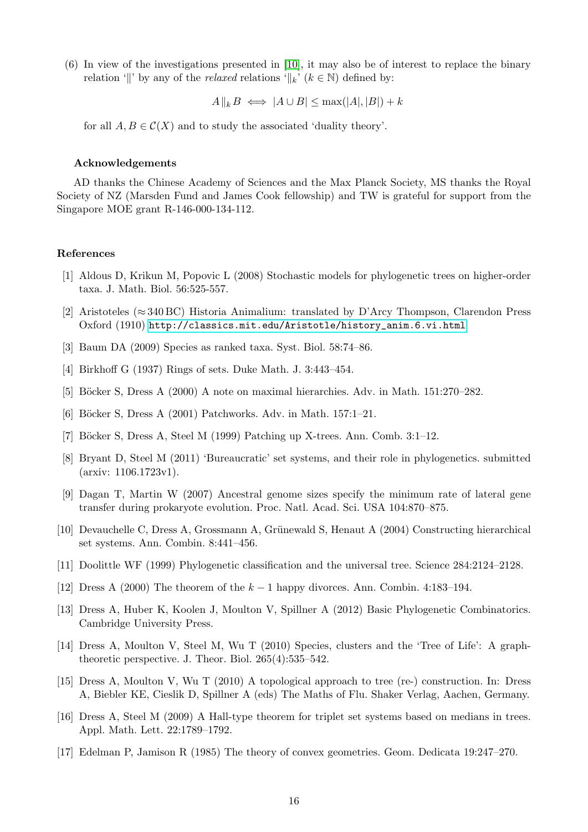(6) In view of the investigations presented in [\[10\]](#page-15-16), it may also be of interest to replace the binary relation '||' by any of the *relaxed* relations ' $\Vert_k$ ' ( $k \in \mathbb{N}$ ) defined by:

 $A\|_k B \iff |A \cup B| \leq \max(|A|, |B|) + k$ 

for all  $A, B \in \mathcal{C}(X)$  and to study the associated 'duality theory'.

#### Acknowledgements

AD thanks the Chinese Academy of Sciences and the Max Planck Society, MS thanks the Royal Society of NZ (Marsden Fund and James Cook fellowship) and TW is grateful for support from the Singapore MOE grant R-146-000-134-112.

## References

- <span id="page-15-14"></span>[1] Aldous D, Krikun M, Popovic L (2008) Stochastic models for phylogenetic trees on higher-order taxa. J. Math. Biol. 56:525-557.
- <span id="page-15-0"></span>[2] Aristoteles (≈ 340 BC) Historia Animalium: translated by D'Arcy Thompson, Clarendon Press Oxford (1910) [http://classics.mit.edu/Aristotle/history\\_anim.6.vi.html](http://classics.mit.edu/Aristotle/history_anim.6.vi.html)
- <span id="page-15-15"></span>[3] Baum DA (2009) Species as ranked taxa. Syst. Biol. 58:74–86.
- <span id="page-15-8"></span>[4] Birkhoff G (1937) Rings of sets. Duke Math. J. 3:443–454.
- <span id="page-15-9"></span>[5] Böcker S, Dress A (2000) A note on maximal hierarchies. Adv. in Math. 151:270–282.
- <span id="page-15-7"></span>[6] Böcker S, Dress A (2001) Patchworks. Adv. in Math. 157:1–21.
- <span id="page-15-5"></span>[7] Böcker S, Dress A, Steel M (1999) Patching up X-trees. Ann. Comb. 3:1-12.
- <span id="page-15-12"></span>[8] Bryant D, Steel M (2011) 'Bureaucratic' set systems, and their role in phylogenetics. submitted (arxiv: 1106.1723v1).
- <span id="page-15-6"></span>[9] Dagan T, Martin W (2007) Ancestral genome sizes specify the minimum rate of lateral gene transfer during prokaryote evolution. Proc. Natl. Acad. Sci. USA 104:870–875.
- <span id="page-15-16"></span>[10] Devauchelle C, Dress A, Grossmann A, Grünewald S, Henaut A (2004) Constructing hierarchical set systems. Ann. Combin. 8:441–456.
- <span id="page-15-3"></span>[11] Doolittle WF (1999) Phylogenetic classification and the universal tree. Science 284:2124–2128.
- <span id="page-15-11"></span>[12] Dress A (2000) The theorem of the  $k-1$  happy divorces. Ann. Combin. 4:183–194.
- <span id="page-15-4"></span>[13] Dress A, Huber K, Koolen J, Moulton V, Spillner A (2012) Basic Phylogenetic Combinatorics. Cambridge University Press.
- <span id="page-15-1"></span>[14] Dress A, Moulton V, Steel M, Wu T (2010) Species, clusters and the 'Tree of Life': A graphtheoretic perspective. J. Theor. Biol. 265(4):535–542.
- <span id="page-15-2"></span>[15] Dress A, Moulton V, Wu T (2010) A topological approach to tree (re-) construction. In: Dress A, Biebler KE, Cieslik D, Spillner A (eds) The Maths of Flu. Shaker Verlag, Aachen, Germany.
- <span id="page-15-10"></span>[16] Dress A, Steel M (2009) A Hall-type theorem for triplet set systems based on medians in trees. Appl. Math. Lett. 22:1789–1792.
- <span id="page-15-13"></span>[17] Edelman P, Jamison R (1985) The theory of convex geometries. Geom. Dedicata 19:247–270.